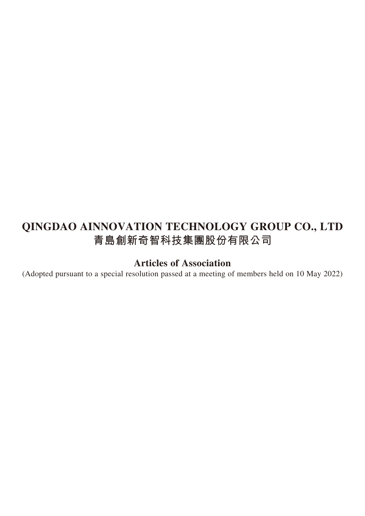# **QINGDAO AINNOVATION TECHNOLOGY GROUP CO., LTD 青島創新奇智科技集團股份有限公司**

# **Articles of Association**

(Adopted pursuant to a special resolution passed at a meeting of members held on 10 May 2022)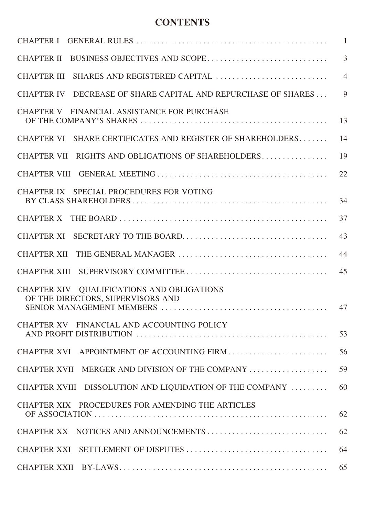## **CONTENTS**

|                                                                                                              | $\overline{1}$ |
|--------------------------------------------------------------------------------------------------------------|----------------|
|                                                                                                              | $\overline{3}$ |
| SHARES AND REGISTERED CAPITAL<br><b>CHAPTER III</b>                                                          | $\overline{4}$ |
| CHAPTER IV DECREASE OF SHARE CAPITAL AND REPURCHASE OF SHARES                                                | $\overline{9}$ |
| CHAPTER V FINANCIAL ASSISTANCE FOR PURCHASE                                                                  | 13             |
| CHAPTER VI SHARE CERTIFICATES AND REGISTER OF SHAREHOLDERS                                                   | 14             |
| CHAPTER VII RIGHTS AND OBLIGATIONS OF SHAREHOLDERS                                                           | 19             |
|                                                                                                              | 22             |
| CHAPTER IX SPECIAL PROCEDURES FOR VOTING                                                                     | 34             |
| <b>CHAPTER X</b>                                                                                             | 37             |
| <b>CHAPTER XI</b>                                                                                            | 43             |
|                                                                                                              | 44             |
|                                                                                                              | 45             |
| CHAPTER XIV QUALIFICATIONS AND OBLIGATIONS<br>OF THE DIRECTORS, SUPERVISORS AND<br>SENIOR MANAGEMENT MEMBERS | 47             |
| CHAPTER XV FINANCIAL AND ACCOUNTING POLICY                                                                   | 53             |
| CHAPTER XVI APPOINTMENT OF ACCOUNTING FIRM                                                                   | 56             |
| CHAPTER XVII MERGER AND DIVISION OF THE COMPANY                                                              | 59             |
| CHAPTER XVIII DISSOLUTION AND LIQUIDATION OF THE COMPANY                                                     | 60             |
| CHAPTER XIX PROCEDURES FOR AMENDING THE ARTICLES                                                             | 62             |
| CHAPTER XX NOTICES AND ANNOUNCEMENTS                                                                         | 62             |
|                                                                                                              | 64             |
|                                                                                                              | 65             |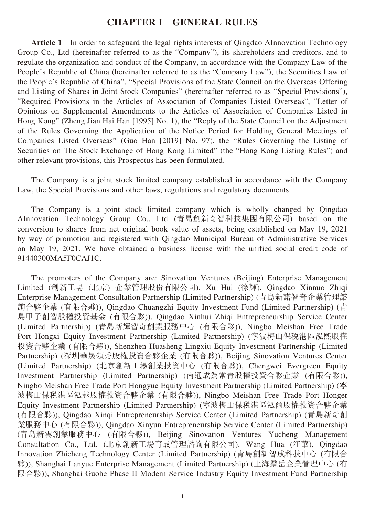#### **CHAPTER I GENERAL RULES**

**Article 1** In order to safeguard the legal rights interests of Qingdao AInnovation Technology Group Co., Ltd (hereinafter referred to as the "Company"), its shareholders and creditors, and to regulate the organization and conduct of the Company, in accordance with the Company Law of the People's Republic of China (hereinafter referred to as the "Company Law"), the Securities Law of the People's Republic of China", "Special Provisions of the State Council on the Overseas Offering and Listing of Shares in Joint Stock Companies" (hereinafter referred to as "Special Provisions"), "Required Provisions in the Articles of Association of Companies Listed Overseas", "Letter of Opinions on Supplemental Amendments to the Articles of Association of Companies Listed in Hong Kong" (Zheng Jian Hai Han [1995] No. 1), the "Reply of the State Council on the Adjustment of the Rules Governing the Application of the Notice Period for Holding General Meetings of Companies Listed Overseas" (Guo Han [2019] No. 97), the "Rules Governing the Listing of Securities on The Stock Exchange of Hong Kong Limited" (the "Hong Kong Listing Rules") and other relevant provisions, this Prospectus has been formulated.

The Company is a joint stock limited company established in accordance with the Company Law, the Special Provisions and other laws, regulations and regulatory documents.

The Company is a joint stock limited company which is wholly changed by Qingdao AInnovation Technology Group Co., Ltd (青島創新奇智科技集團有限公司) based on the conversion to shares from net original book value of assets, being established on May 19, 2021 by way of promotion and registered with Qingdao Municipal Bureau of Administrative Services on May 19, 2021. We have obtained a business license with the unified social credit code of 91440300MA5F0CAJ1C.

The promoters of the Company are: Sinovation Ventures (Beijing) Enterprise Management Limited (創新工場 (北京) 企業管理股份有限公司), Xu Hui (徐輝), Qingdao Xinnuo Zhiqi Enterprise Management Consultation Partnership (Limited Partnership) (青島新諾智奇企業管理諮 詢合夥企業 (有限合夥)), Qingdao Chuangzhi Equity Investment Fund (Limited Partnership) (青 島甲子創智股權投資基金 (有限合夥)), Qingdao Xinhui Zhiqi Entrepreneurship Service Center (Limited Partnership) (青島新輝智奇創業服務中心 (有限合夥)), Ningbo Meishan Free Trade Port Hongxi Equity Investment Partnership (Limited Partnership) (寧波梅山保稅港區泓熙股權 投資合夥企業 (有限合夥)), Shenzhen Huasheng Lingxiu Equity Investment Partnership (Limited Partnership) (深圳華晟領秀股權投資合夥企業 (有限合夥)), Beijing Sinovation Ventures Center (Limited Partnership) (北京創新工場創業投資中心 (有限合夥)), Chengwei Evergreen Equity Investment Partnership (Limited Partnership) (南通成為常青股權投資合夥企業 (有限合夥)), Ningbo Meishan Free Trade Port Hongyue Equity Investment Partnership (Limited Partnership) (寧 波梅山保稅港區泓越股權投資合夥企業 (有限合夥)), Ningbo Meishan Free Trade Port Honger Equity Investment Partnership (Limited Partnership) (寧波梅山保稅港區泓爾股權投資合夥企業 (有限合夥)), Qingdao Xinqi Entrepreneurship Service Center (Limited Partnership) (青島新奇創 業服務中心 (有限合夥)), Qingdao Xinyun Entrepreneurship Service Center (Limited Partnership) (青島新雲創業服務中心 (有限合夥)), Beijing Sinovation Ventures Yucheng Management Consultation Co., Ltd. (北京創新工場育成管理諮詢有限公司), Wang Hua (汪華), Qingdao Innovation Zhicheng Technology Center (Limited Partnership) (青島創新智成科技中心 (有限合 夥)), Shanghai Lanyue Enterprise Management (Limited Partnership) (上海攬岳企業管理中心 (有 限合夥)), Shanghai Guohe Phase II Modern Service Industry Equity Investment Fund Partnership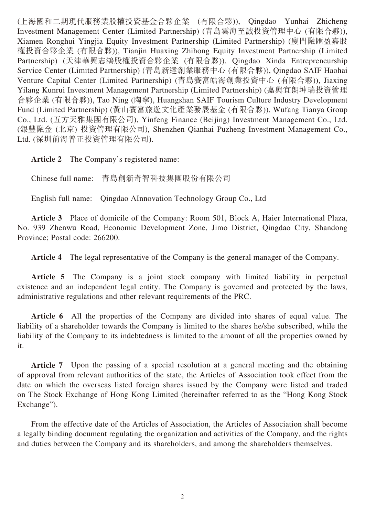(上海國和二期現代服務業股權投資基金合夥企業 (有限合夥)), Qingdao Yunhai Zhicheng Investment Management Center (Limited Partnership) (青島雲海至誠投資管理中心 (有限合夥)), Xiamen Ronghui Yingjia Equity Investment Partnership (Limited Partnership) (廈門融匯盈嘉股 權投資合夥企業 (有限合夥)), Tianjin Huaxing Zhihong Equity Investment Partnership (Limited Partnership) (天津華興志鴻股權投資合夥企業 (有限合夥)), Qingdao Xinda Entrepreneurship Service Center (Limited Partnership) (青島新達創業服務中心 (有限合夥)), Qingdao SAIF Haohai Venture Capital Center (Limited Partnership) (青島賽富皓海創業投資中心 (有限合夥)), Jiaxing Yilang Kunrui Investment Management Partnership (Limited Partnership) (嘉興宜朗坤瑞投資管理 合夥企業 (有限合夥)), Tao Ning (陶寧), Huangshan SAIF Tourism Culture Industry Development Fund (Limited Partnership) (黃山賽富旅遊文化產業發展基金 (有限合夥)), Wufang Tianya Group Co., Ltd. (五方天雅集團有限公司), Yinfeng Finance (Beijing) Investment Management Co., Ltd. (銀豐融金 (北京) 投資管理有限公司), Shenzhen Qianhai Puzheng Investment Management Co., Ltd. (深圳前海普正投資管理有限公司).

**Article 2** The Company's registered name:

Chinese full name: 青島創新奇智科技集團股份有限公司

English full name: Qingdao AInnovation Technology Group Co., Ltd

**Article 3** Place of domicile of the Company: Room 501, Block A, Haier International Plaza, No. 939 Zhenwu Road, Economic Development Zone, Jimo District, Qingdao City, Shandong Province; Postal code: 266200.

**Article 4** The legal representative of the Company is the general manager of the Company.

**Article 5** The Company is a joint stock company with limited liability in perpetual existence and an independent legal entity. The Company is governed and protected by the laws, administrative regulations and other relevant requirements of the PRC.

**Article 6** All the properties of the Company are divided into shares of equal value. The liability of a shareholder towards the Company is limited to the shares he/she subscribed, while the liability of the Company to its indebtedness is limited to the amount of all the properties owned by it.

**Article 7** Upon the passing of a special resolution at a general meeting and the obtaining of approval from relevant authorities of the state, the Articles of Association took effect from the date on which the overseas listed foreign shares issued by the Company were listed and traded on The Stock Exchange of Hong Kong Limited (hereinafter referred to as the "Hong Kong Stock Exchange").

From the effective date of the Articles of Association, the Articles of Association shall become a legally binding document regulating the organization and activities of the Company, and the rights and duties between the Company and its shareholders, and among the shareholders themselves.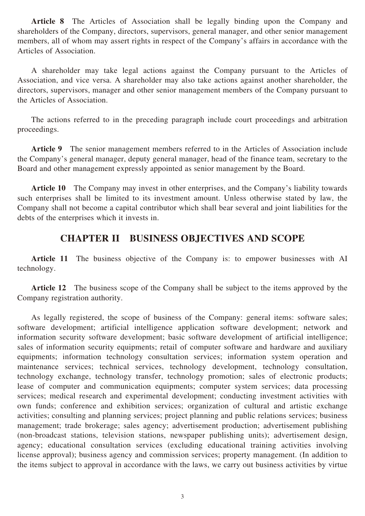**Article 8** The Articles of Association shall be legally binding upon the Company and shareholders of the Company, directors, supervisors, general manager, and other senior management members, all of whom may assert rights in respect of the Company's affairs in accordance with the Articles of Association.

A shareholder may take legal actions against the Company pursuant to the Articles of Association, and vice versa. A shareholder may also take actions against another shareholder, the directors, supervisors, manager and other senior management members of the Company pursuant to the Articles of Association.

The actions referred to in the preceding paragraph include court proceedings and arbitration proceedings.

**Article 9** The senior management members referred to in the Articles of Association include the Company's general manager, deputy general manager, head of the finance team, secretary to the Board and other management expressly appointed as senior management by the Board.

**Article 10** The Company may invest in other enterprises, and the Company's liability towards such enterprises shall be limited to its investment amount. Unless otherwise stated by law, the Company shall not become a capital contributor which shall bear several and joint liabilities for the debts of the enterprises which it invests in.

### **CHAPTER II BUSINESS OBJECTIVES AND SCOPE**

**Article 11** The business objective of the Company is: to empower businesses with AI technology.

**Article 12** The business scope of the Company shall be subject to the items approved by the Company registration authority.

As legally registered, the scope of business of the Company: general items: software sales; software development; artificial intelligence application software development; network and information security software development; basic software development of artificial intelligence; sales of information security equipments; retail of computer software and hardware and auxiliary equipments; information technology consultation services; information system operation and maintenance services; technical services, technology development, technology consultation, technology exchange, technology transfer, technology promotion; sales of electronic products; lease of computer and communication equipments; computer system services; data processing services; medical research and experimental development; conducting investment activities with own funds; conference and exhibition services; organization of cultural and artistic exchange activities; consulting and planning services; project planning and public relations services; business management; trade brokerage; sales agency; advertisement production; advertisement publishing (non-broadcast stations, television stations, newspaper publishing units); advertisement design, agency; educational consultation services (excluding educational training activities involving license approval); business agency and commission services; property management. (In addition to the items subject to approval in accordance with the laws, we carry out business activities by virtue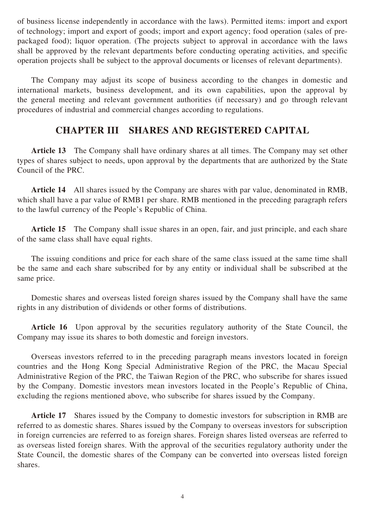of business license independently in accordance with the laws). Permitted items: import and export of technology; import and export of goods; import and export agency; food operation (sales of prepackaged food); liquor operation. (The projects subject to approval in accordance with the laws shall be approved by the relevant departments before conducting operating activities, and specific operation projects shall be subject to the approval documents or licenses of relevant departments).

The Company may adjust its scope of business according to the changes in domestic and international markets, business development, and its own capabilities, upon the approval by the general meeting and relevant government authorities (if necessary) and go through relevant procedures of industrial and commercial changes according to regulations.

### **CHAPTER III SHARES AND REGISTERED CAPITAL**

**Article 13** The Company shall have ordinary shares at all times. The Company may set other types of shares subject to needs, upon approval by the departments that are authorized by the State Council of the PRC.

**Article 14** All shares issued by the Company are shares with par value, denominated in RMB, which shall have a par value of RMB1 per share. RMB mentioned in the preceding paragraph refers to the lawful currency of the People's Republic of China.

Article 15 The Company shall issue shares in an open, fair, and just principle, and each share of the same class shall have equal rights.

The issuing conditions and price for each share of the same class issued at the same time shall be the same and each share subscribed for by any entity or individual shall be subscribed at the same price.

Domestic shares and overseas listed foreign shares issued by the Company shall have the same rights in any distribution of dividends or other forms of distributions.

**Article 16** Upon approval by the securities regulatory authority of the State Council, the Company may issue its shares to both domestic and foreign investors.

Overseas investors referred to in the preceding paragraph means investors located in foreign countries and the Hong Kong Special Administrative Region of the PRC, the Macau Special Administrative Region of the PRC, the Taiwan Region of the PRC, who subscribe for shares issued by the Company. Domestic investors mean investors located in the People's Republic of China, excluding the regions mentioned above, who subscribe for shares issued by the Company.

**Article 17** Shares issued by the Company to domestic investors for subscription in RMB are referred to as domestic shares. Shares issued by the Company to overseas investors for subscription in foreign currencies are referred to as foreign shares. Foreign shares listed overseas are referred to as overseas listed foreign shares. With the approval of the securities regulatory authority under the State Council, the domestic shares of the Company can be converted into overseas listed foreign shares.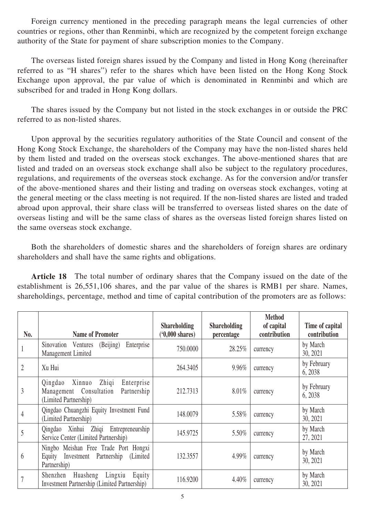Foreign currency mentioned in the preceding paragraph means the legal currencies of other countries or regions, other than Renminbi, which are recognized by the competent foreign exchange authority of the State for payment of share subscription monies to the Company.

The overseas listed foreign shares issued by the Company and listed in Hong Kong (hereinafter referred to as "H shares") refer to the shares which have been listed on the Hong Kong Stock Exchange upon approval, the par value of which is denominated in Renminbi and which are subscribed for and traded in Hong Kong dollars.

The shares issued by the Company but not listed in the stock exchanges in or outside the PRC referred to as non-listed shares.

Upon approval by the securities regulatory authorities of the State Council and consent of the Hong Kong Stock Exchange, the shareholders of the Company may have the non-listed shares held by them listed and traded on the overseas stock exchanges. The above-mentioned shares that are listed and traded on an overseas stock exchange shall also be subject to the regulatory procedures, regulations, and requirements of the overseas stock exchange. As for the conversion and/or transfer of the above-mentioned shares and their listing and trading on overseas stock exchanges, voting at the general meeting or the class meeting is not required. If the non-listed shares are listed and traded abroad upon approval, their share class will be transferred to overseas listed shares on the date of overseas listing and will be the same class of shares as the overseas listed foreign shares listed on the same overseas stock exchange.

Both the shareholders of domestic shares and the shareholders of foreign shares are ordinary shareholders and shall have the same rights and obligations.

**Article 18** The total number of ordinary shares that the Company issued on the date of the establishment is 26,551,106 shares, and the par value of the shares is RMB1 per share. Names, shareholdings, percentage, method and time of capital contribution of the promoters are as follows:

| No.            | <b>Name of Promoter</b>                                                                                     | <b>Shareholding</b><br>$(0,000 \text{ shares})$ | <b>Shareholding</b><br>percentage | <b>Method</b><br>of capital<br>contribution | Time of capital<br>contribution |
|----------------|-------------------------------------------------------------------------------------------------------------|-------------------------------------------------|-----------------------------------|---------------------------------------------|---------------------------------|
|                | Sinovation Ventures (Beijing)<br>Enterprise<br>Management Limited                                           | 750.0000                                        | 28.25%                            | currency                                    | by March<br>30, 2021            |
| $\overline{2}$ | Xu Hui                                                                                                      | 264.3405                                        | 9.96%                             | currency                                    | by February<br>6, 2038          |
| 3              | Zhiqi<br>Enterprise<br>Xinnuo<br>Qingdao<br>Management Consultation<br>Partnership<br>(Limited Partnership) | 212.7313                                        | 8.01%                             | currency                                    | by February<br>6, 2038          |
| 4              | Qingdao Chuangzhi Equity Investment Fund<br>(Limited Partnership)                                           | 148.0079                                        | 5.58%                             | currency                                    | by March<br>30, 2021            |
| 5              | Qingdao Xinhui Zhiqi Entrepreneurship<br>Service Center (Limited Partnership)                               | 145.9725                                        | 5.50%                             | currency                                    | by March<br>27, 2021            |
| 6              | Ningbo Meishan Free Trade Port Hongxi<br>Investment Partnership<br>(Limited)<br>Equity<br>Partnership)      | 132.3557                                        | 4.99%                             | currency                                    | by March<br>30, 2021            |
|                | Huasheng Lingxiu<br>Equity<br>Shenzhen<br><b>Investment Partnership (Limited Partnership)</b>               | 116.9200                                        | 4.40%                             | currency                                    | by March<br>30, 2021            |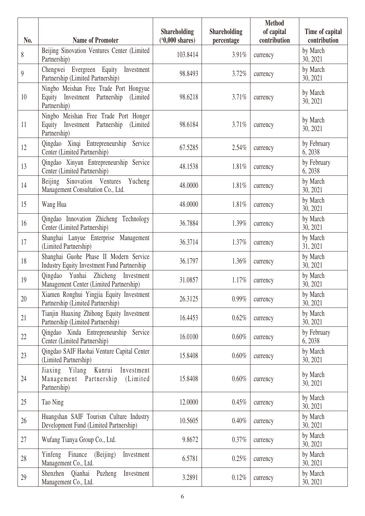|                  |                                                                                                  | <b>Shareholding</b>      | <b>Shareholding</b> | <b>Method</b><br>of capital | Time of capital        |
|------------------|--------------------------------------------------------------------------------------------------|--------------------------|---------------------|-----------------------------|------------------------|
| No.              | <b>Name of Promoter</b>                                                                          | $(0,000 \text{ shares})$ | percentage          | contribution                | contribution           |
| $\,$ $\,$        | Beijing Sinovation Ventures Center (Limited<br>Partnership)                                      | 103.8414                 | 3.91%               | currency                    | by March<br>30, 2021   |
| $\boldsymbol{9}$ | Chengwei Evergreen Equity<br>Investment<br>Partnership (Limited Partnership)                     | 98.8493                  | 3.72%               | currency                    | by March<br>30, 2021   |
| 10               | Ningbo Meishan Free Trade Port Hongyue<br>Equity Investment Partnership (Limited<br>Partnership) | 98.6218                  | 3.71%               | currency                    | by March<br>30, 2021   |
| 11               | Ningbo Meishan Free Trade Port Honger<br>Equity Investment Partnership (Limited<br>Partnership)  | 98.6184                  | 3.71%               | currency                    | by March<br>30, 2021   |
| 12               | Qingdao Xinqi Entrepreneurship Service<br>Center (Limited Partnership)                           | 67.5285                  | 2.54%               | currency                    | by February<br>6, 2038 |
| 13               | Qingdao Xinyun Entrepreneurship Service<br>Center (Limited Partnership)                          | 48.1538                  | 1.81%               | currency                    | by February<br>6, 2038 |
| 14               | Sinovation Ventures<br><b>Beijing</b><br>Yucheng<br>Management Consultation Co., Ltd.            | 48.0000                  | 1.81%               | currency                    | by March<br>30, 2021   |
| 15               | Wang Hua                                                                                         | 48.0000                  | 1.81%               | currency                    | by March<br>30, 2021   |
| 16               | Qingdao Innovation Zhicheng Technology<br>Center (Limited Partnership)                           | 36.7884                  | 1.39%               | currency                    | by March<br>30, 2021   |
| 17               | Shanghai Lanyue Enterprise Management<br>(Limited Partnership)                                   | 36.3714                  | 1.37%               | currency                    | by March<br>31, 2021   |
| 18               | Shanghai Guohe Phase II Modern Service<br><b>Industry Equity Investment Fund Partnership</b>     | 36.1797                  | 1.36%               | currency                    | by March<br>30, 2021   |
| 19               | Qingdao Yunhai Zhicheng Investment<br>Management Center (Limited Partnership)                    | 31.0857                  | 1.17%               | currency                    | by March<br>30, 2021   |
| 20               | Xiamen Ronghui Yingjia Equity Investment<br>Partnership (Limited Partnership)                    | 26.3125                  | 0.99%               | currency                    | by March<br>30, 2021   |
| 21               | Tianjin Huaxing Zhihong Equity Investment<br>Partnership (Limited Partnership)                   | 16.4453                  | 0.62%               | currency                    | by March<br>30, 2021   |
| 22               | Qingdao Xinda Entrepreneurship Service<br>Center (Limited Partnership)                           | 16.0100                  | 0.60%               | currency                    | by February<br>6, 2038 |
| 23               | Qingdao SAIF Haohai Venture Capital Center<br>(Limited Partnership)                              | 15.8408                  | 0.60%               | currency                    | by March<br>30, 2021   |
| 24               | Jiaxing Yilang Kunrui Investment<br>Management Partnership<br>(Limited)<br>Partnership)          | 15.8408                  | 0.60%               | currency                    | by March<br>30, 2021   |
| 25               | Tao Ning                                                                                         | 12.0000                  | 0.45%               | currency                    | by March<br>30, 2021   |
| 26               | Huangshan SAIF Tourism Culture Industry<br>Development Fund (Limited Partnership)                | 10.5605                  | 0.40%               | currency                    | by March<br>30, 2021   |
| 27               | Wufang Tianya Group Co., Ltd.                                                                    | 9.8672                   | 0.37%               | currency                    | by March<br>30, 2021   |
| 28               | Yinfeng Finance<br>(Beijing)<br>Investment<br>Management Co., Ltd.                               | 6.5781                   | 0.25%               | currency                    | by March<br>30, 2021   |
| 29               | Shenzhen Qianhai Puzheng<br>Investment<br>Management Co., Ltd.                                   | 3.2891                   | 0.12%               | currency                    | by March<br>30, 2021   |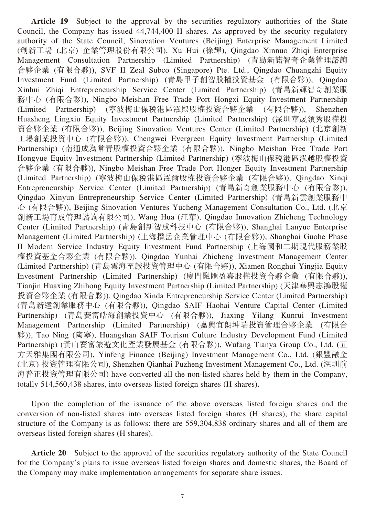Article 19 Subject to the approval by the securities regulatory authorities of the State Council, the Company has issued 44,744,400 H shares. As approved by the security regulatory authority of the State Council, Sinovation Ventures (Beijing) Enterprise Management Limited (創新工場 (北京) 企業管理股份有限公司), Xu Hui (徐輝), Qingdao Xinnuo Zhiqi Enterprise Management Consultation Partnership (Limited Partnership) (青島新諾智奇企業管理諮詢 合夥企業 (有限合夥)), SVF II Zeal Subco (Singapore) Pte. Ltd., Qingdao Chuangzhi Equity Investment Fund (Limited Partnership) (青島甲子創智股權投資基金 (有限合夥)), Qingdao Xinhui Zhiqi Entrepreneurship Service Center (Limited Partnership) (青島新輝智奇創業服 務中心 (有限合夥)), Ningbo Meishan Free Trade Port Hongxi Equity Investment Partnership (Limited Partnership) (寧波梅山保稅港區泓熙股權投資合夥企業 (有限合夥)), Shenzhen Huasheng Lingxiu Equity Investment Partnership (Limited Partnership) (深圳華晟領秀股權投 資合夥企業 (有限合夥)), Beijing Sinovation Ventures Center (Limited Partnership) (北京創新 工場創業投資中心 (有限合夥)), Chengwei Evergreen Equity Investment Partnership (Limited Partnership) (南通成為常青股權投資合夥企業 (有限合夥)), Ningbo Meishan Free Trade Port Hongyue Equity Investment Partnership (Limited Partnership) (寧波梅山保稅港區泓越股權投資 合夥企業 (有限合夥)), Ningbo Meishan Free Trade Port Honger Equity Investment Partnership (Limited Partnership) (寧波梅山保稅港區泓爾股權投資合夥企業 (有限合夥)), Qingdao Xinqi Entrepreneurship Service Center (Limited Partnership) (青島新奇創業服務中心 (有限合夥)), Qingdao Xinyun Entrepreneurship Service Center (Limited Partnership) (青島新雲創業服務中 心 (有限合夥)), Beijing Sinovation Ventures Yucheng Management Consultation Co., Ltd. (北京 創新工場育成管理諮詢有限公司), Wang Hua (汪華), Qingdao Innovation Zhicheng Technology Center (Limited Partnership) (青島創新智成科技中心 (有限合夥)), Shanghai Lanyue Enterprise Management (Limited Partnership) (上海攬岳企業管理中心 (有限合夥)), Shanghai Guohe Phase II Modern Service Industry Equity Investment Fund Partnership (上海國和二期現代服務業股 權投資基金合夥企業 (有限合夥)), Qingdao Yunhai Zhicheng Investment Management Center (Limited Partnership) (青島雲海至誠投資管理中心 (有限合夥)), Xiamen Ronghui Yingjia Equity Investment Partnership (Limited Partnership) (廈門融匯盈嘉股權投資合夥企業 (有限合夥)), Tianjin Huaxing Zhihong Equity Investment Partnership (Limited Partnership) (天津華興志鴻股權 投資合夥企業 (有限合夥)), Qingdao Xinda Entrepreneurship Service Center (Limited Partnership) (青島新達創業服務中心 (有限合夥)), Qingdao SAIF Haohai Venture Capital Center (Limited Partnership) (青島賽富皓海創業投資中心 (有限合夥)), Jiaxing Yilang Kunrui Investment Management Partnership (Limited Partnership) (嘉興宜朗坤瑞投資管理合夥企業 (有限合 夥)), Tao Ning (陶寧), Huangshan SAIF Tourism Culture Industry Development Fund (Limited Partnership) (黃山賽富旅遊文化產業發展基金 (有限合夥)), Wufang Tianya Group Co., Ltd. (五 方天雅集團有限公司), Yinfeng Finance (Beijing) Investment Management Co., Ltd. (銀豐融金 (北京) 投資管理有限公司), Shenzhen Qianhai Puzheng Investment Management Co., Ltd. (深圳前 海普正投資管理有限公司) have converted all the non-listed shares held by them in the Company, totally 514,560,438 shares, into overseas listed foreign shares (H shares).

Upon the completion of the issuance of the above overseas listed foreign shares and the conversion of non-listed shares into overseas listed foreign shares (H shares), the share capital structure of the Company is as follows: there are 559,304,838 ordinary shares and all of them are overseas listed foreign shares (H shares).

**Article 20** Subject to the approval of the securities regulatory authority of the State Council for the Company's plans to issue overseas listed foreign shares and domestic shares, the Board of the Company may make implementation arrangements for separate share issues.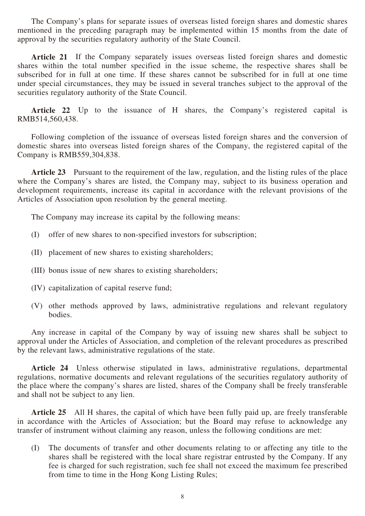The Company's plans for separate issues of overseas listed foreign shares and domestic shares mentioned in the preceding paragraph may be implemented within 15 months from the date of approval by the securities regulatory authority of the State Council.

**Article 21** If the Company separately issues overseas listed foreign shares and domestic shares within the total number specified in the issue scheme, the respective shares shall be subscribed for in full at one time. If these shares cannot be subscribed for in full at one time under special circumstances, they may be issued in several tranches subject to the approval of the securities regulatory authority of the State Council.

Article 22 Up to the issuance of H shares, the Company's registered capital is RMB514,560,438.

Following completion of the issuance of overseas listed foreign shares and the conversion of domestic shares into overseas listed foreign shares of the Company, the registered capital of the Company is RMB559,304,838.

**Article 23** Pursuant to the requirement of the law, regulation, and the listing rules of the place where the Company's shares are listed, the Company may, subject to its business operation and development requirements, increase its capital in accordance with the relevant provisions of the Articles of Association upon resolution by the general meeting.

The Company may increase its capital by the following means:

- (I) offer of new shares to non-specified investors for subscription;
- (II) placement of new shares to existing shareholders;
- (III) bonus issue of new shares to existing shareholders;
- (IV) capitalization of capital reserve fund;
- (V) other methods approved by laws, administrative regulations and relevant regulatory bodies.

Any increase in capital of the Company by way of issuing new shares shall be subject to approval under the Articles of Association, and completion of the relevant procedures as prescribed by the relevant laws, administrative regulations of the state.

**Article 24** Unless otherwise stipulated in laws, administrative regulations, departmental regulations, normative documents and relevant regulations of the securities regulatory authority of the place where the company's shares are listed, shares of the Company shall be freely transferable and shall not be subject to any lien.

**Article 25** All H shares, the capital of which have been fully paid up, are freely transferable in accordance with the Articles of Association; but the Board may refuse to acknowledge any transfer of instrument without claiming any reason, unless the following conditions are met:

(I) The documents of transfer and other documents relating to or affecting any title to the shares shall be registered with the local share registrar entrusted by the Company. If any fee is charged for such registration, such fee shall not exceed the maximum fee prescribed from time to time in the Hong Kong Listing Rules;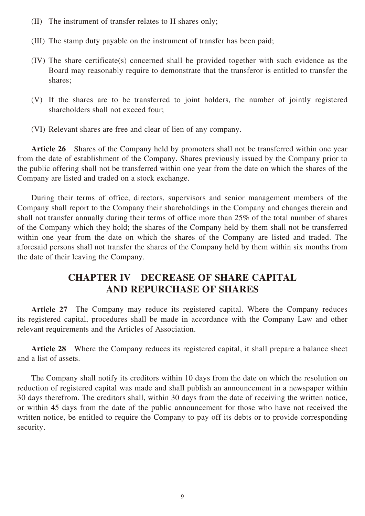- (II) The instrument of transfer relates to H shares only;
- (III) The stamp duty payable on the instrument of transfer has been paid;
- (IV) The share certificate(s) concerned shall be provided together with such evidence as the Board may reasonably require to demonstrate that the transferor is entitled to transfer the shares;
- (V) If the shares are to be transferred to joint holders, the number of jointly registered shareholders shall not exceed four;
- (VI) Relevant shares are free and clear of lien of any company.

**Article 26** Shares of the Company held by promoters shall not be transferred within one year from the date of establishment of the Company. Shares previously issued by the Company prior to the public offering shall not be transferred within one year from the date on which the shares of the Company are listed and traded on a stock exchange.

During their terms of office, directors, supervisors and senior management members of the Company shall report to the Company their shareholdings in the Company and changes therein and shall not transfer annually during their terms of office more than 25% of the total number of shares of the Company which they hold; the shares of the Company held by them shall not be transferred within one year from the date on which the shares of the Company are listed and traded. The aforesaid persons shall not transfer the shares of the Company held by them within six months from the date of their leaving the Company.

## **CHAPTER IV DECREASE OF SHARE CAPITAL AND REPURCHASE OF SHARES**

**Article 27** The Company may reduce its registered capital. Where the Company reduces its registered capital, procedures shall be made in accordance with the Company Law and other relevant requirements and the Articles of Association.

**Article 28** Where the Company reduces its registered capital, it shall prepare a balance sheet and a list of assets.

The Company shall notify its creditors within 10 days from the date on which the resolution on reduction of registered capital was made and shall publish an announcement in a newspaper within 30 days therefrom. The creditors shall, within 30 days from the date of receiving the written notice, or within 45 days from the date of the public announcement for those who have not received the written notice, be entitled to require the Company to pay off its debts or to provide corresponding security.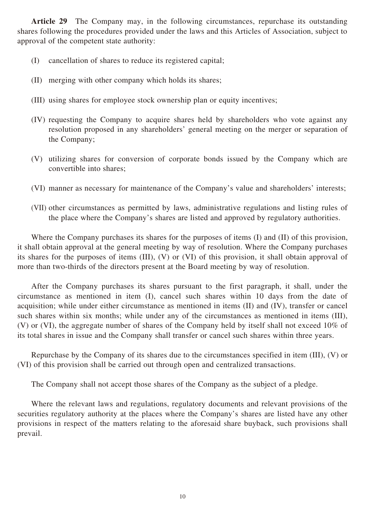**Article 29** The Company may, in the following circumstances, repurchase its outstanding shares following the procedures provided under the laws and this Articles of Association, subject to approval of the competent state authority:

- (I) cancellation of shares to reduce its registered capital;
- (II) merging with other company which holds its shares;
- (III) using shares for employee stock ownership plan or equity incentives;
- (IV) requesting the Company to acquire shares held by shareholders who vote against any resolution proposed in any shareholders' general meeting on the merger or separation of the Company;
- (V) utilizing shares for conversion of corporate bonds issued by the Company which are convertible into shares;
- (VI) manner as necessary for maintenance of the Company's value and shareholders' interests;
- (VII) other circumstances as permitted by laws, administrative regulations and listing rules of the place where the Company's shares are listed and approved by regulatory authorities.

Where the Company purchases its shares for the purposes of items (I) and (II) of this provision, it shall obtain approval at the general meeting by way of resolution. Where the Company purchases its shares for the purposes of items (III), (V) or (VI) of this provision, it shall obtain approval of more than two-thirds of the directors present at the Board meeting by way of resolution.

After the Company purchases its shares pursuant to the first paragraph, it shall, under the circumstance as mentioned in item (I), cancel such shares within 10 days from the date of acquisition; while under either circumstance as mentioned in items (II) and (IV), transfer or cancel such shares within six months; while under any of the circumstances as mentioned in items (III), (V) or (VI), the aggregate number of shares of the Company held by itself shall not exceed 10% of its total shares in issue and the Company shall transfer or cancel such shares within three years.

Repurchase by the Company of its shares due to the circumstances specified in item (III), (V) or (VI) of this provision shall be carried out through open and centralized transactions.

The Company shall not accept those shares of the Company as the subject of a pledge.

Where the relevant laws and regulations, regulatory documents and relevant provisions of the securities regulatory authority at the places where the Company's shares are listed have any other provisions in respect of the matters relating to the aforesaid share buyback, such provisions shall prevail.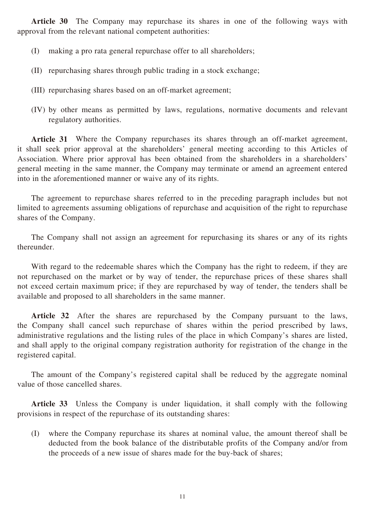**Article 30** The Company may repurchase its shares in one of the following ways with approval from the relevant national competent authorities:

- (I) making a pro rata general repurchase offer to all shareholders;
- (II) repurchasing shares through public trading in a stock exchange;
- (III) repurchasing shares based on an off-market agreement;
- (IV) by other means as permitted by laws, regulations, normative documents and relevant regulatory authorities.

**Article 31** Where the Company repurchases its shares through an off-market agreement, it shall seek prior approval at the shareholders' general meeting according to this Articles of Association. Where prior approval has been obtained from the shareholders in a shareholders' general meeting in the same manner, the Company may terminate or amend an agreement entered into in the aforementioned manner or waive any of its rights.

The agreement to repurchase shares referred to in the preceding paragraph includes but not limited to agreements assuming obligations of repurchase and acquisition of the right to repurchase shares of the Company.

The Company shall not assign an agreement for repurchasing its shares or any of its rights thereunder.

With regard to the redeemable shares which the Company has the right to redeem, if they are not repurchased on the market or by way of tender, the repurchase prices of these shares shall not exceed certain maximum price; if they are repurchased by way of tender, the tenders shall be available and proposed to all shareholders in the same manner.

**Article 32** After the shares are repurchased by the Company pursuant to the laws, the Company shall cancel such repurchase of shares within the period prescribed by laws, administrative regulations and the listing rules of the place in which Company's shares are listed, and shall apply to the original company registration authority for registration of the change in the registered capital.

The amount of the Company's registered capital shall be reduced by the aggregate nominal value of those cancelled shares.

**Article 33** Unless the Company is under liquidation, it shall comply with the following provisions in respect of the repurchase of its outstanding shares:

(I) where the Company repurchase its shares at nominal value, the amount thereof shall be deducted from the book balance of the distributable profits of the Company and/or from the proceeds of a new issue of shares made for the buy-back of shares;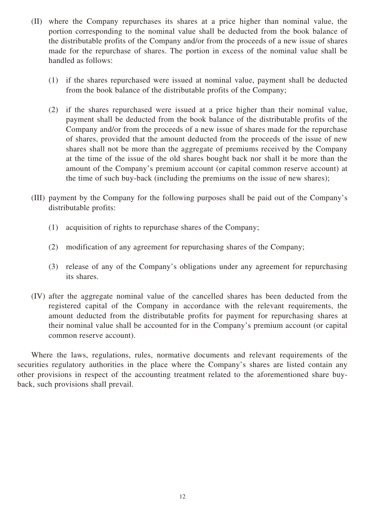- (II) where the Company repurchases its shares at a price higher than nominal value, the portion corresponding to the nominal value shall be deducted from the book balance of the distributable profits of the Company and/or from the proceeds of a new issue of shares made for the repurchase of shares. The portion in excess of the nominal value shall be handled as follows:
	- (1) if the shares repurchased were issued at nominal value, payment shall be deducted from the book balance of the distributable profits of the Company;
	- (2) if the shares repurchased were issued at a price higher than their nominal value, payment shall be deducted from the book balance of the distributable profits of the Company and/or from the proceeds of a new issue of shares made for the repurchase of shares, provided that the amount deducted from the proceeds of the issue of new shares shall not be more than the aggregate of premiums received by the Company at the time of the issue of the old shares bought back nor shall it be more than the amount of the Company's premium account (or capital common reserve account) at the time of such buy-back (including the premiums on the issue of new shares);
- (III) payment by the Company for the following purposes shall be paid out of the Company's distributable profits:
	- (1) acquisition of rights to repurchase shares of the Company;
	- (2) modification of any agreement for repurchasing shares of the Company;
	- (3) release of any of the Company's obligations under any agreement for repurchasing its shares.
- (IV) after the aggregate nominal value of the cancelled shares has been deducted from the registered capital of the Company in accordance with the relevant requirements, the amount deducted from the distributable profits for payment for repurchasing shares at their nominal value shall be accounted for in the Company's premium account (or capital common reserve account).

Where the laws, regulations, rules, normative documents and relevant requirements of the securities regulatory authorities in the place where the Company's shares are listed contain any other provisions in respect of the accounting treatment related to the aforementioned share buyback, such provisions shall prevail.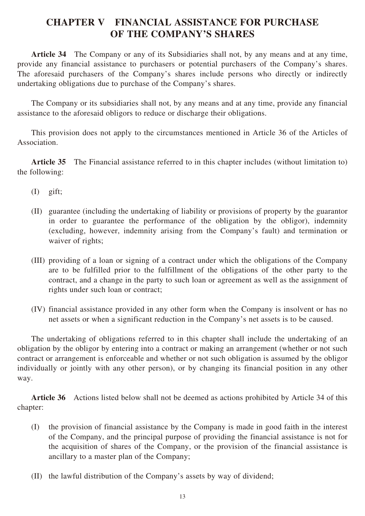## **CHAPTER V FINANCIAL ASSISTANCE FOR PURCHASE OF THE COMPANY'S SHARES**

**Article 34** The Company or any of its Subsidiaries shall not, by any means and at any time, provide any financial assistance to purchasers or potential purchasers of the Company's shares. The aforesaid purchasers of the Company's shares include persons who directly or indirectly undertaking obligations due to purchase of the Company's shares.

The Company or its subsidiaries shall not, by any means and at any time, provide any financial assistance to the aforesaid obligors to reduce or discharge their obligations.

This provision does not apply to the circumstances mentioned in Article 36 of the Articles of Association.

**Article 35** The Financial assistance referred to in this chapter includes (without limitation to) the following:

- (I) gift;
- (II) guarantee (including the undertaking of liability or provisions of property by the guarantor in order to guarantee the performance of the obligation by the obligor), indemnity (excluding, however, indemnity arising from the Company's fault) and termination or waiver of rights;
- (III) providing of a loan or signing of a contract under which the obligations of the Company are to be fulfilled prior to the fulfillment of the obligations of the other party to the contract, and a change in the party to such loan or agreement as well as the assignment of rights under such loan or contract;
- (IV) financial assistance provided in any other form when the Company is insolvent or has no net assets or when a significant reduction in the Company's net assets is to be caused.

The undertaking of obligations referred to in this chapter shall include the undertaking of an obligation by the obligor by entering into a contract or making an arrangement (whether or not such contract or arrangement is enforceable and whether or not such obligation is assumed by the obligor individually or jointly with any other person), or by changing its financial position in any other way.

**Article 36** Actions listed below shall not be deemed as actions prohibited by Article 34 of this chapter:

- (I) the provision of financial assistance by the Company is made in good faith in the interest of the Company, and the principal purpose of providing the financial assistance is not for the acquisition of shares of the Company, or the provision of the financial assistance is ancillary to a master plan of the Company;
- (II) the lawful distribution of the Company's assets by way of dividend;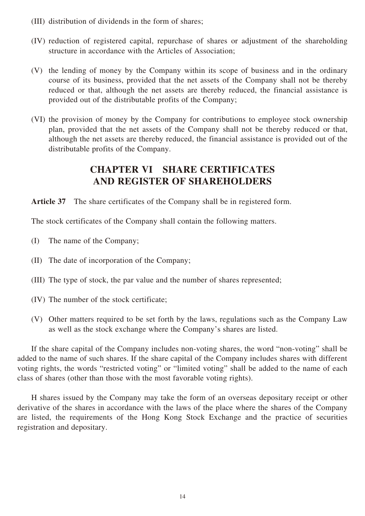- (III) distribution of dividends in the form of shares;
- (IV) reduction of registered capital, repurchase of shares or adjustment of the shareholding structure in accordance with the Articles of Association;
- (V) the lending of money by the Company within its scope of business and in the ordinary course of its business, provided that the net assets of the Company shall not be thereby reduced or that, although the net assets are thereby reduced, the financial assistance is provided out of the distributable profits of the Company;
- (VI) the provision of money by the Company for contributions to employee stock ownership plan, provided that the net assets of the Company shall not be thereby reduced or that, although the net assets are thereby reduced, the financial assistance is provided out of the distributable profits of the Company.

## **CHAPTER VI SHARE CERTIFICATES AND REGISTER OF SHAREHOLDERS**

**Article 37** The share certificates of the Company shall be in registered form.

The stock certificates of the Company shall contain the following matters.

- (I) The name of the Company;
- (II) The date of incorporation of the Company;
- (III) The type of stock, the par value and the number of shares represented;
- (IV) The number of the stock certificate;
- (V) Other matters required to be set forth by the laws, regulations such as the Company Law as well as the stock exchange where the Company's shares are listed.

If the share capital of the Company includes non-voting shares, the word "non-voting" shall be added to the name of such shares. If the share capital of the Company includes shares with different voting rights, the words "restricted voting" or "limited voting" shall be added to the name of each class of shares (other than those with the most favorable voting rights).

H shares issued by the Company may take the form of an overseas depositary receipt or other derivative of the shares in accordance with the laws of the place where the shares of the Company are listed, the requirements of the Hong Kong Stock Exchange and the practice of securities registration and depositary.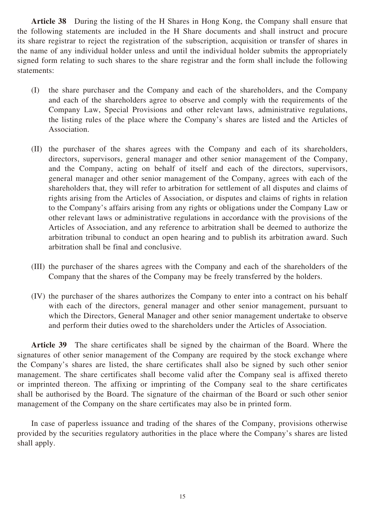**Article 38** During the listing of the H Shares in Hong Kong, the Company shall ensure that the following statements are included in the H Share documents and shall instruct and procure its share registrar to reject the registration of the subscription, acquisition or transfer of shares in the name of any individual holder unless and until the individual holder submits the appropriately signed form relating to such shares to the share registrar and the form shall include the following statements:

- (I) the share purchaser and the Company and each of the shareholders, and the Company and each of the shareholders agree to observe and comply with the requirements of the Company Law, Special Provisions and other relevant laws, administrative regulations, the listing rules of the place where the Company's shares are listed and the Articles of Association.
- (II) the purchaser of the shares agrees with the Company and each of its shareholders, directors, supervisors, general manager and other senior management of the Company, and the Company, acting on behalf of itself and each of the directors, supervisors, general manager and other senior management of the Company, agrees with each of the shareholders that, they will refer to arbitration for settlement of all disputes and claims of rights arising from the Articles of Association, or disputes and claims of rights in relation to the Company's affairs arising from any rights or obligations under the Company Law or other relevant laws or administrative regulations in accordance with the provisions of the Articles of Association, and any reference to arbitration shall be deemed to authorize the arbitration tribunal to conduct an open hearing and to publish its arbitration award. Such arbitration shall be final and conclusive.
- (III) the purchaser of the shares agrees with the Company and each of the shareholders of the Company that the shares of the Company may be freely transferred by the holders.
- (IV) the purchaser of the shares authorizes the Company to enter into a contract on his behalf with each of the directors, general manager and other senior management, pursuant to which the Directors, General Manager and other senior management undertake to observe and perform their duties owed to the shareholders under the Articles of Association.

**Article 39** The share certificates shall be signed by the chairman of the Board. Where the signatures of other senior management of the Company are required by the stock exchange where the Company's shares are listed, the share certificates shall also be signed by such other senior management. The share certificates shall become valid after the Company seal is affixed thereto or imprinted thereon. The affixing or imprinting of the Company seal to the share certificates shall be authorised by the Board. The signature of the chairman of the Board or such other senior management of the Company on the share certificates may also be in printed form.

In case of paperless issuance and trading of the shares of the Company, provisions otherwise provided by the securities regulatory authorities in the place where the Company's shares are listed shall apply.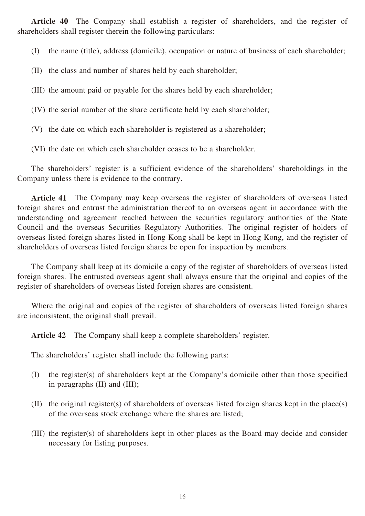**Article 40** The Company shall establish a register of shareholders, and the register of shareholders shall register therein the following particulars:

(I) the name (title), address (domicile), occupation or nature of business of each shareholder;

- (II) the class and number of shares held by each shareholder;
- (III) the amount paid or payable for the shares held by each shareholder;
- (IV) the serial number of the share certificate held by each shareholder;
- (V) the date on which each shareholder is registered as a shareholder;
- (VI) the date on which each shareholder ceases to be a shareholder.

The shareholders' register is a sufficient evidence of the shareholders' shareholdings in the Company unless there is evidence to the contrary.

**Article 41** The Company may keep overseas the register of shareholders of overseas listed foreign shares and entrust the administration thereof to an overseas agent in accordance with the understanding and agreement reached between the securities regulatory authorities of the State Council and the overseas Securities Regulatory Authorities. The original register of holders of overseas listed foreign shares listed in Hong Kong shall be kept in Hong Kong, and the register of shareholders of overseas listed foreign shares be open for inspection by members.

The Company shall keep at its domicile a copy of the register of shareholders of overseas listed foreign shares. The entrusted overseas agent shall always ensure that the original and copies of the register of shareholders of overseas listed foreign shares are consistent.

Where the original and copies of the register of shareholders of overseas listed foreign shares are inconsistent, the original shall prevail.

**Article 42** The Company shall keep a complete shareholders' register.

The shareholders' register shall include the following parts:

- (I) the register(s) of shareholders kept at the Company's domicile other than those specified in paragraphs (II) and (III);
- (II) the original register(s) of shareholders of overseas listed foreign shares kept in the place(s) of the overseas stock exchange where the shares are listed;
- (III) the register(s) of shareholders kept in other places as the Board may decide and consider necessary for listing purposes.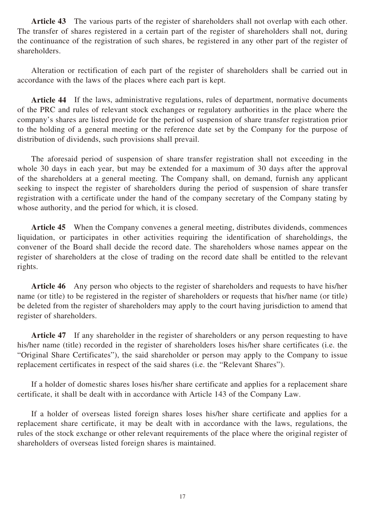**Article 43** The various parts of the register of shareholders shall not overlap with each other. The transfer of shares registered in a certain part of the register of shareholders shall not, during the continuance of the registration of such shares, be registered in any other part of the register of shareholders.

Alteration or rectification of each part of the register of shareholders shall be carried out in accordance with the laws of the places where each part is kept.

**Article 44** If the laws, administrative regulations, rules of department, normative documents of the PRC and rules of relevant stock exchanges or regulatory authorities in the place where the company's shares are listed provide for the period of suspension of share transfer registration prior to the holding of a general meeting or the reference date set by the Company for the purpose of distribution of dividends, such provisions shall prevail.

The aforesaid period of suspension of share transfer registration shall not exceeding in the whole 30 days in each year, but may be extended for a maximum of 30 days after the approval of the shareholders at a general meeting. The Company shall, on demand, furnish any applicant seeking to inspect the register of shareholders during the period of suspension of share transfer registration with a certificate under the hand of the company secretary of the Company stating by whose authority, and the period for which, it is closed.

**Article 45** When the Company convenes a general meeting, distributes dividends, commences liquidation, or participates in other activities requiring the identification of shareholdings, the convener of the Board shall decide the record date. The shareholders whose names appear on the register of shareholders at the close of trading on the record date shall be entitled to the relevant rights.

**Article 46** Any person who objects to the register of shareholders and requests to have his/her name (or title) to be registered in the register of shareholders or requests that his/her name (or title) be deleted from the register of shareholders may apply to the court having jurisdiction to amend that register of shareholders.

Article 47 If any shareholder in the register of shareholders or any person requesting to have his/her name (title) recorded in the register of shareholders loses his/her share certificates (i.e. the "Original Share Certificates"), the said shareholder or person may apply to the Company to issue replacement certificates in respect of the said shares (i.e. the "Relevant Shares").

If a holder of domestic shares loses his/her share certificate and applies for a replacement share certificate, it shall be dealt with in accordance with Article 143 of the Company Law.

If a holder of overseas listed foreign shares loses his/her share certificate and applies for a replacement share certificate, it may be dealt with in accordance with the laws, regulations, the rules of the stock exchange or other relevant requirements of the place where the original register of shareholders of overseas listed foreign shares is maintained.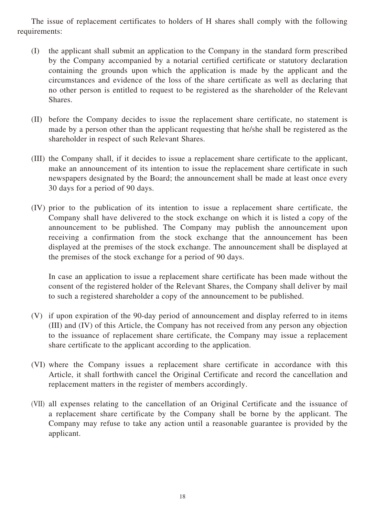The issue of replacement certificates to holders of H shares shall comply with the following requirements:

- (I) the applicant shall submit an application to the Company in the standard form prescribed by the Company accompanied by a notarial certified certificate or statutory declaration containing the grounds upon which the application is made by the applicant and the circumstances and evidence of the loss of the share certificate as well as declaring that no other person is entitled to request to be registered as the shareholder of the Relevant Shares.
- (II) before the Company decides to issue the replacement share certificate, no statement is made by a person other than the applicant requesting that he/she shall be registered as the shareholder in respect of such Relevant Shares.
- (III) the Company shall, if it decides to issue a replacement share certificate to the applicant, make an announcement of its intention to issue the replacement share certificate in such newspapers designated by the Board; the announcement shall be made at least once every 30 days for a period of 90 days.
- (IV) prior to the publication of its intention to issue a replacement share certificate, the Company shall have delivered to the stock exchange on which it is listed a copy of the announcement to be published. The Company may publish the announcement upon receiving a confirmation from the stock exchange that the announcement has been displayed at the premises of the stock exchange. The announcement shall be displayed at the premises of the stock exchange for a period of 90 days.

In case an application to issue a replacement share certificate has been made without the consent of the registered holder of the Relevant Shares, the Company shall deliver by mail to such a registered shareholder a copy of the announcement to be published.

- (V) if upon expiration of the 90-day period of announcement and display referred to in items (III) and (IV) of this Article, the Company has not received from any person any objection to the issuance of replacement share certificate, the Company may issue a replacement share certificate to the applicant according to the application.
- (VI) where the Company issues a replacement share certificate in accordance with this Article, it shall forthwith cancel the Original Certificate and record the cancellation and replacement matters in the register of members accordingly.
- (VII) all expenses relating to the cancellation of an Original Certificate and the issuance of a replacement share certificate by the Company shall be borne by the applicant. The Company may refuse to take any action until a reasonable guarantee is provided by the applicant.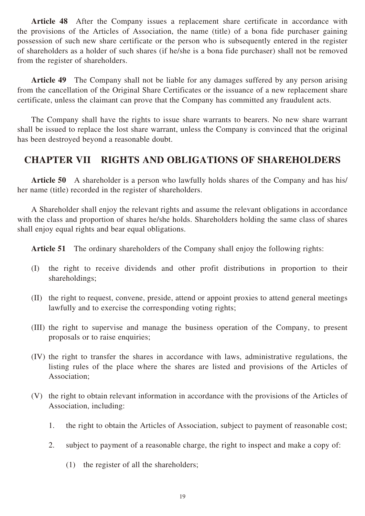Article 48 After the Company issues a replacement share certificate in accordance with the provisions of the Articles of Association, the name (title) of a bona fide purchaser gaining possession of such new share certificate or the person who is subsequently entered in the register of shareholders as a holder of such shares (if he/she is a bona fide purchaser) shall not be removed from the register of shareholders.

**Article 49** The Company shall not be liable for any damages suffered by any person arising from the cancellation of the Original Share Certificates or the issuance of a new replacement share certificate, unless the claimant can prove that the Company has committed any fraudulent acts.

The Company shall have the rights to issue share warrants to bearers. No new share warrant shall be issued to replace the lost share warrant, unless the Company is convinced that the original has been destroyed beyond a reasonable doubt.

## **CHAPTER VII RIGHTS AND OBLIGATIONS OF SHAREHOLDERS**

**Article 50** A shareholder is a person who lawfully holds shares of the Company and has his/ her name (title) recorded in the register of shareholders.

A Shareholder shall enjoy the relevant rights and assume the relevant obligations in accordance with the class and proportion of shares he/she holds. Shareholders holding the same class of shares shall enjoy equal rights and bear equal obligations.

**Article 51** The ordinary shareholders of the Company shall enjoy the following rights:

- (I) the right to receive dividends and other profit distributions in proportion to their shareholdings;
- (II) the right to request, convene, preside, attend or appoint proxies to attend general meetings lawfully and to exercise the corresponding voting rights;
- (III) the right to supervise and manage the business operation of the Company, to present proposals or to raise enquiries;
- (IV) the right to transfer the shares in accordance with laws, administrative regulations, the listing rules of the place where the shares are listed and provisions of the Articles of Association;
- (V) the right to obtain relevant information in accordance with the provisions of the Articles of Association, including:
	- 1. the right to obtain the Articles of Association, subject to payment of reasonable cost;
	- 2. subject to payment of a reasonable charge, the right to inspect and make a copy of:
		- (1) the register of all the shareholders;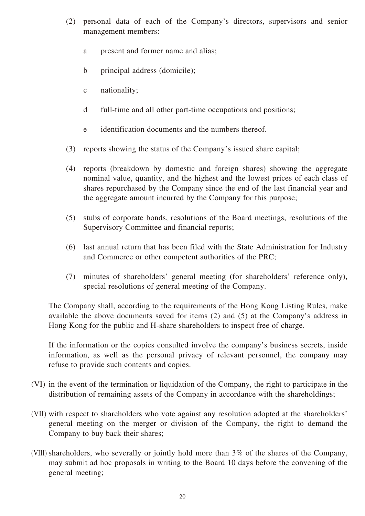- (2) personal data of each of the Company's directors, supervisors and senior management members:
	- a present and former name and alias;
	- b principal address (domicile);
	- c nationality;
	- d full-time and all other part-time occupations and positions;
	- e identification documents and the numbers thereof.
- (3) reports showing the status of the Company's issued share capital;
- (4) reports (breakdown by domestic and foreign shares) showing the aggregate nominal value, quantity, and the highest and the lowest prices of each class of shares repurchased by the Company since the end of the last financial year and the aggregate amount incurred by the Company for this purpose;
- (5) stubs of corporate bonds, resolutions of the Board meetings, resolutions of the Supervisory Committee and financial reports;
- (6) last annual return that has been filed with the State Administration for Industry and Commerce or other competent authorities of the PRC;
- (7) minutes of shareholders' general meeting (for shareholders' reference only), special resolutions of general meeting of the Company.

The Company shall, according to the requirements of the Hong Kong Listing Rules, make available the above documents saved for items (2) and (5) at the Company's address in Hong Kong for the public and H-share shareholders to inspect free of charge.

If the information or the copies consulted involve the company's business secrets, inside information, as well as the personal privacy of relevant personnel, the company may refuse to provide such contents and copies.

- (VI) in the event of the termination or liquidation of the Company, the right to participate in the distribution of remaining assets of the Company in accordance with the shareholdings;
- (VII) with respect to shareholders who vote against any resolution adopted at the shareholders' general meeting on the merger or division of the Company, the right to demand the Company to buy back their shares;
- (VIII) shareholders, who severally or jointly hold more than 3% of the shares of the Company, may submit ad hoc proposals in writing to the Board 10 days before the convening of the general meeting;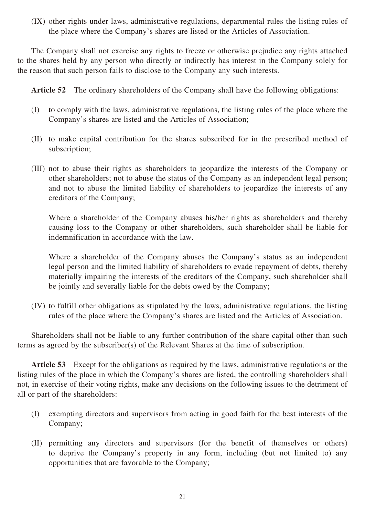(IX) other rights under laws, administrative regulations, departmental rules the listing rules of the place where the Company's shares are listed or the Articles of Association.

The Company shall not exercise any rights to freeze or otherwise prejudice any rights attached to the shares held by any person who directly or indirectly has interest in the Company solely for the reason that such person fails to disclose to the Company any such interests.

**Article 52** The ordinary shareholders of the Company shall have the following obligations:

- (I) to comply with the laws, administrative regulations, the listing rules of the place where the Company's shares are listed and the Articles of Association;
- (II) to make capital contribution for the shares subscribed for in the prescribed method of subscription;
- (III) not to abuse their rights as shareholders to jeopardize the interests of the Company or other shareholders; not to abuse the status of the Company as an independent legal person; and not to abuse the limited liability of shareholders to jeopardize the interests of any creditors of the Company;

Where a shareholder of the Company abuses his/her rights as shareholders and thereby causing loss to the Company or other shareholders, such shareholder shall be liable for indemnification in accordance with the law.

Where a shareholder of the Company abuses the Company's status as an independent legal person and the limited liability of shareholders to evade repayment of debts, thereby materially impairing the interests of the creditors of the Company, such shareholder shall be jointly and severally liable for the debts owed by the Company;

(IV) to fulfill other obligations as stipulated by the laws, administrative regulations, the listing rules of the place where the Company's shares are listed and the Articles of Association.

Shareholders shall not be liable to any further contribution of the share capital other than such terms as agreed by the subscriber(s) of the Relevant Shares at the time of subscription.

**Article 53** Except for the obligations as required by the laws, administrative regulations or the listing rules of the place in which the Company's shares are listed, the controlling shareholders shall not, in exercise of their voting rights, make any decisions on the following issues to the detriment of all or part of the shareholders:

- (I) exempting directors and supervisors from acting in good faith for the best interests of the Company;
- (II) permitting any directors and supervisors (for the benefit of themselves or others) to deprive the Company's property in any form, including (but not limited to) any opportunities that are favorable to the Company;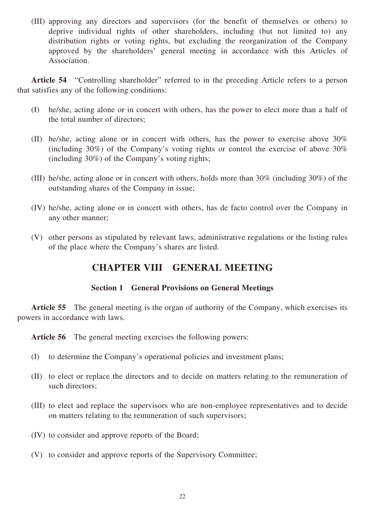(III) approving any directors and supervisors (for the benefit of themselves or others) to deprive individual rights of other shareholders, including (but not limited to) any distribution rights or voting rights, but excluding the reorganization of the Company approved by the shareholders' general meeting in accordance with this Articles of Association.

Article 54 "Controlling shareholder" referred to in the preceding Article refers to a person that satisfies any of the following conditions:

- (I) he/she, acting alone or in concert with others, has the power to elect more than a half of the total number of directors;
- (II) he/she, acting alone or in concert with others, has the power to exercise above 30% (including 30%) of the Company's voting rights or control the exercise of above 30% (including 30%) of the Company's voting rights;
- (III) he/she, acting alone or in concert with others, holds more than 30% (including 30%) of the outstanding shares of the Company in issue;
- (IV) he/she, acting alone or in concert with others, has de facto control over the Company in any other manner;
- (V) other persons as stipulated by relevant laws, administrative regulations or the listing rules of the place where the Company's shares are listed.

## **CHAPTER VIII GENERAL MEETING**

#### **Section 1 General Provisions on General Meetings**

Article 55 The general meeting is the organ of authority of the Company, which exercises its powers in accordance with laws.

**Article 56** The general meeting exercises the following powers:

- (I) to determine the Company's operational policies and investment plans;
- (II) to elect or replace the directors and to decide on matters relating to the remuneration of such directors;
- (III) to elect and replace the supervisors who are non-employee representatives and to decide on matters relating to the remuneration of such supervisors;
- (IV) to consider and approve reports of the Board;
- (V) to consider and approve reports of the Supervisory Committee;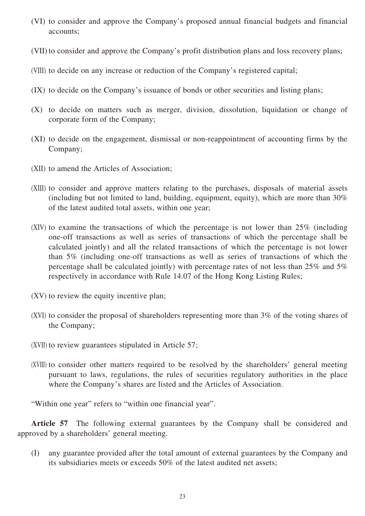- (VI) to consider and approve the Company's proposed annual financial budgets and financial accounts;
- (VII) to consider and approve the Company's profit distribution plans and loss recovery plans;
- (VIII) to decide on any increase or reduction of the Company's registered capital;
- (IX) to decide on the Company's issuance of bonds or other securities and listing plans;
- (X) to decide on matters such as merger, division, dissolution, liquidation or change of corporate form of the Company;
- (XI) to decide on the engagement, dismissal or non-reappointment of accounting firms by the Company;
- (XII) to amend the Articles of Association;
- (XIII) to consider and approve matters relating to the purchases, disposals of material assets (including but not limited to land, building, equipment, equity), which are more than 30% of the latest audited total assets, within one year;
- (XIV) to examine the transactions of which the percentage is not lower than 25% (including one-off transactions as well as series of transactions of which the percentage shall be calculated jointly) and all the related transactions of which the percentage is not lower than 5% (including one-off transactions as well as series of transactions of which the percentage shall be calculated jointly) with percentage rates of not less than 25% and 5% respectively in accordance with Rule 14.07 of the Hong Kong Listing Rules;
- (XV) to review the equity incentive plan;
- (XVI) to consider the proposal of shareholders representing more than 3% of the voting shares of the Company;
- (XVII) to review guarantees stipulated in Article 57;
- (XVIII) to consider other matters required to be resolved by the shareholders' general meeting pursuant to laws, regulations, the rules of securities regulatory authorities in the place where the Company's shares are listed and the Articles of Association.

"Within one year" refers to "within one financial year".

**Article 57** The following external guarantees by the Company shall be considered and approved by a shareholders' general meeting.

(I) any guarantee provided after the total amount of external guarantees by the Company and its subsidiaries meets or exceeds 50% of the latest audited net assets;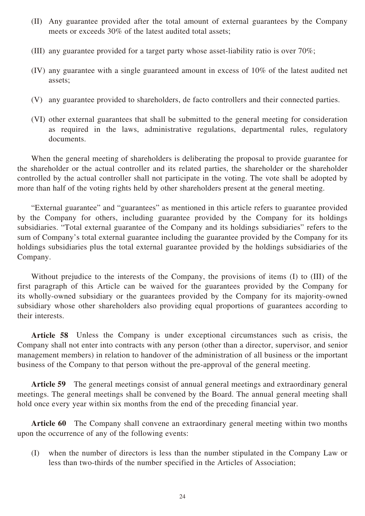- (II) Any guarantee provided after the total amount of external guarantees by the Company meets or exceeds 30% of the latest audited total assets;
- (III) any guarantee provided for a target party whose asset-liability ratio is over 70%;
- (IV) any guarantee with a single guaranteed amount in excess of 10% of the latest audited net assets;
- (V) any guarantee provided to shareholders, de facto controllers and their connected parties.
- (VI) other external guarantees that shall be submitted to the general meeting for consideration as required in the laws, administrative regulations, departmental rules, regulatory documents.

When the general meeting of shareholders is deliberating the proposal to provide guarantee for the shareholder or the actual controller and its related parties, the shareholder or the shareholder controlled by the actual controller shall not participate in the voting. The vote shall be adopted by more than half of the voting rights held by other shareholders present at the general meeting.

"External guarantee" and "guarantees" as mentioned in this article refers to guarantee provided by the Company for others, including guarantee provided by the Company for its holdings subsidiaries. "Total external guarantee of the Company and its holdings subsidiaries" refers to the sum of Company's total external guarantee including the guarantee provided by the Company for its holdings subsidiaries plus the total external guarantee provided by the holdings subsidiaries of the Company.

Without prejudice to the interests of the Company, the provisions of items (I) to (III) of the first paragraph of this Article can be waived for the guarantees provided by the Company for its wholly-owned subsidiary or the guarantees provided by the Company for its majority-owned subsidiary whose other shareholders also providing equal proportions of guarantees according to their interests.

**Article 58** Unless the Company is under exceptional circumstances such as crisis, the Company shall not enter into contracts with any person (other than a director, supervisor, and senior management members) in relation to handover of the administration of all business or the important business of the Company to that person without the pre-approval of the general meeting.

**Article 59** The general meetings consist of annual general meetings and extraordinary general meetings. The general meetings shall be convened by the Board. The annual general meeting shall hold once every year within six months from the end of the preceding financial year.

**Article 60** The Company shall convene an extraordinary general meeting within two months upon the occurrence of any of the following events:

(I) when the number of directors is less than the number stipulated in the Company Law or less than two-thirds of the number specified in the Articles of Association;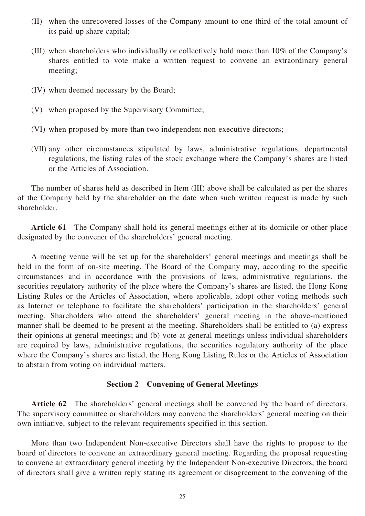- (II) when the unrecovered losses of the Company amount to one-third of the total amount of its paid-up share capital;
- (III) when shareholders who individually or collectively hold more than 10% of the Company's shares entitled to vote make a written request to convene an extraordinary general meeting;
- (IV) when deemed necessary by the Board;
- (V) when proposed by the Supervisory Committee;
- (VI) when proposed by more than two independent non-executive directors;
- (VII) any other circumstances stipulated by laws, administrative regulations, departmental regulations, the listing rules of the stock exchange where the Company's shares are listed or the Articles of Association.

The number of shares held as described in Item (III) above shall be calculated as per the shares of the Company held by the shareholder on the date when such written request is made by such shareholder.

**Article 61** The Company shall hold its general meetings either at its domicile or other place designated by the convener of the shareholders' general meeting.

A meeting venue will be set up for the shareholders' general meetings and meetings shall be held in the form of on-site meeting. The Board of the Company may, according to the specific circumstances and in accordance with the provisions of laws, administrative regulations, the securities regulatory authority of the place where the Company's shares are listed, the Hong Kong Listing Rules or the Articles of Association, where applicable, adopt other voting methods such as Internet or telephone to facilitate the shareholders' participation in the shareholders' general meeting. Shareholders who attend the shareholders' general meeting in the above-mentioned manner shall be deemed to be present at the meeting. Shareholders shall be entitled to (a) express their opinions at general meetings; and (b) vote at general meetings unless individual shareholders are required by laws, administrative regulations, the securities regulatory authority of the place where the Company's shares are listed, the Hong Kong Listing Rules or the Articles of Association to abstain from voting on individual matters.

#### **Section 2 Convening of General Meetings**

**Article 62** The shareholders' general meetings shall be convened by the board of directors. The supervisory committee or shareholders may convene the shareholders' general meeting on their own initiative, subject to the relevant requirements specified in this section.

More than two Independent Non-executive Directors shall have the rights to propose to the board of directors to convene an extraordinary general meeting. Regarding the proposal requesting to convene an extraordinary general meeting by the Independent Non-executive Directors, the board of directors shall give a written reply stating its agreement or disagreement to the convening of the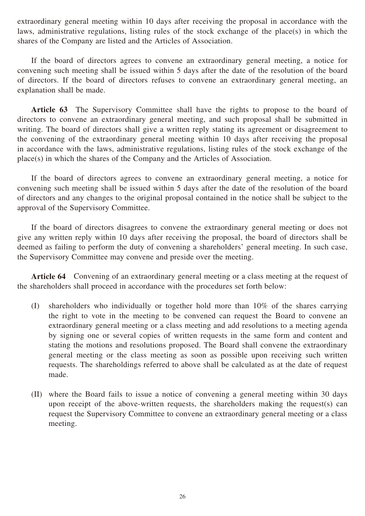extraordinary general meeting within 10 days after receiving the proposal in accordance with the laws, administrative regulations, listing rules of the stock exchange of the place(s) in which the shares of the Company are listed and the Articles of Association.

If the board of directors agrees to convene an extraordinary general meeting, a notice for convening such meeting shall be issued within 5 days after the date of the resolution of the board of directors. If the board of directors refuses to convene an extraordinary general meeting, an explanation shall be made.

Article 63 The Supervisory Committee shall have the rights to propose to the board of directors to convene an extraordinary general meeting, and such proposal shall be submitted in writing. The board of directors shall give a written reply stating its agreement or disagreement to the convening of the extraordinary general meeting within 10 days after receiving the proposal in accordance with the laws, administrative regulations, listing rules of the stock exchange of the place(s) in which the shares of the Company and the Articles of Association.

If the board of directors agrees to convene an extraordinary general meeting, a notice for convening such meeting shall be issued within 5 days after the date of the resolution of the board of directors and any changes to the original proposal contained in the notice shall be subject to the approval of the Supervisory Committee.

If the board of directors disagrees to convene the extraordinary general meeting or does not give any written reply within 10 days after receiving the proposal, the board of directors shall be deemed as failing to perform the duty of convening a shareholders' general meeting. In such case, the Supervisory Committee may convene and preside over the meeting.

**Article 64** Convening of an extraordinary general meeting or a class meeting at the request of the shareholders shall proceed in accordance with the procedures set forth below:

- (I) shareholders who individually or together hold more than 10% of the shares carrying the right to vote in the meeting to be convened can request the Board to convene an extraordinary general meeting or a class meeting and add resolutions to a meeting agenda by signing one or several copies of written requests in the same form and content and stating the motions and resolutions proposed. The Board shall convene the extraordinary general meeting or the class meeting as soon as possible upon receiving such written requests. The shareholdings referred to above shall be calculated as at the date of request made.
- (II) where the Board fails to issue a notice of convening a general meeting within 30 days upon receipt of the above-written requests, the shareholders making the request(s) can request the Supervisory Committee to convene an extraordinary general meeting or a class meeting.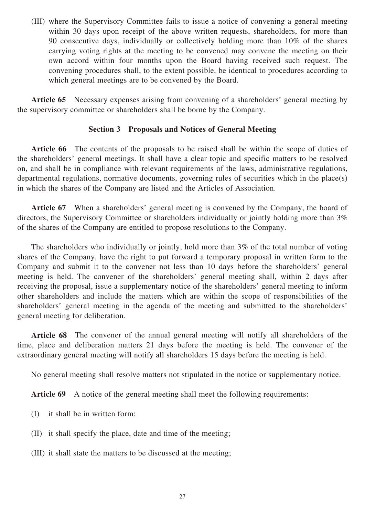(III) where the Supervisory Committee fails to issue a notice of convening a general meeting within 30 days upon receipt of the above written requests, shareholders, for more than 90 consecutive days, individually or collectively holding more than 10% of the shares carrying voting rights at the meeting to be convened may convene the meeting on their own accord within four months upon the Board having received such request. The convening procedures shall, to the extent possible, be identical to procedures according to which general meetings are to be convened by the Board.

**Article 65** Necessary expenses arising from convening of a shareholders' general meeting by the supervisory committee or shareholders shall be borne by the Company.

#### **Section 3 Proposals and Notices of General Meeting**

Article 66 The contents of the proposals to be raised shall be within the scope of duties of the shareholders' general meetings. It shall have a clear topic and specific matters to be resolved on, and shall be in compliance with relevant requirements of the laws, administrative regulations, departmental regulations, normative documents, governing rules of securities which in the place(s) in which the shares of the Company are listed and the Articles of Association.

**Article 67** When a shareholders' general meeting is convened by the Company, the board of directors, the Supervisory Committee or shareholders individually or jointly holding more than 3% of the shares of the Company are entitled to propose resolutions to the Company.

The shareholders who individually or jointly, hold more than 3% of the total number of voting shares of the Company, have the right to put forward a temporary proposal in written form to the Company and submit it to the convener not less than 10 days before the shareholders' general meeting is held. The convener of the shareholders' general meeting shall, within 2 days after receiving the proposal, issue a supplementary notice of the shareholders' general meeting to inform other shareholders and include the matters which are within the scope of responsibilities of the shareholders' general meeting in the agenda of the meeting and submitted to the shareholders' general meeting for deliberation.

**Article 68** The convener of the annual general meeting will notify all shareholders of the time, place and deliberation matters 21 days before the meeting is held. The convener of the extraordinary general meeting will notify all shareholders 15 days before the meeting is held.

No general meeting shall resolve matters not stipulated in the notice or supplementary notice.

**Article 69** A notice of the general meeting shall meet the following requirements:

- (I) it shall be in written form;
- (II) it shall specify the place, date and time of the meeting;
- (III) it shall state the matters to be discussed at the meeting;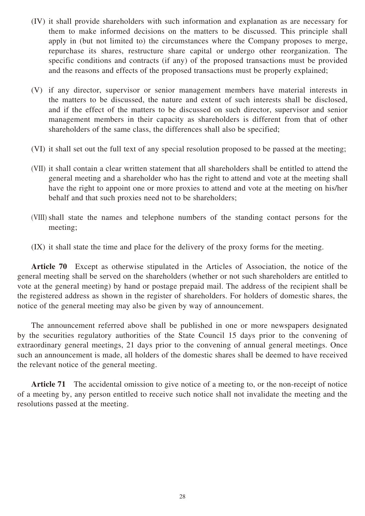- (IV) it shall provide shareholders with such information and explanation as are necessary for them to make informed decisions on the matters to be discussed. This principle shall apply in (but not limited to) the circumstances where the Company proposes to merge, repurchase its shares, restructure share capital or undergo other reorganization. The specific conditions and contracts (if any) of the proposed transactions must be provided and the reasons and effects of the proposed transactions must be properly explained;
- (V) if any director, supervisor or senior management members have material interests in the matters to be discussed, the nature and extent of such interests shall be disclosed, and if the effect of the matters to be discussed on such director, supervisor and senior management members in their capacity as shareholders is different from that of other shareholders of the same class, the differences shall also be specified;
- (VI) it shall set out the full text of any special resolution proposed to be passed at the meeting;
- (VII) it shall contain a clear written statement that all shareholders shall be entitled to attend the general meeting and a shareholder who has the right to attend and vote at the meeting shall have the right to appoint one or more proxies to attend and vote at the meeting on his/her behalf and that such proxies need not to be shareholders;
- (VIII) shall state the names and telephone numbers of the standing contact persons for the meeting;
- (IX) it shall state the time and place for the delivery of the proxy forms for the meeting.

**Article 70** Except as otherwise stipulated in the Articles of Association, the notice of the general meeting shall be served on the shareholders (whether or not such shareholders are entitled to vote at the general meeting) by hand or postage prepaid mail. The address of the recipient shall be the registered address as shown in the register of shareholders. For holders of domestic shares, the notice of the general meeting may also be given by way of announcement.

The announcement referred above shall be published in one or more newspapers designated by the securities regulatory authorities of the State Council 15 days prior to the convening of extraordinary general meetings, 21 days prior to the convening of annual general meetings. Once such an announcement is made, all holders of the domestic shares shall be deemed to have received the relevant notice of the general meeting.

**Article 71** The accidental omission to give notice of a meeting to, or the non-receipt of notice of a meeting by, any person entitled to receive such notice shall not invalidate the meeting and the resolutions passed at the meeting.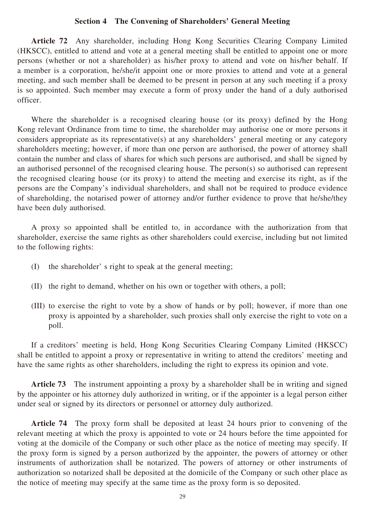#### **Section 4 The Convening of Shareholders' General Meeting**

**Article 72** Any shareholder, including Hong Kong Securities Clearing Company Limited (HKSCC), entitled to attend and vote at a general meeting shall be entitled to appoint one or more persons (whether or not a shareholder) as his/her proxy to attend and vote on his/her behalf. If a member is a corporation, he/she/it appoint one or more proxies to attend and vote at a general meeting, and such member shall be deemed to be present in person at any such meeting if a proxy is so appointed. Such member may execute a form of proxy under the hand of a duly authorised officer.

Where the shareholder is a recognised clearing house (or its proxy) defined by the Hong Kong relevant Ordinance from time to time, the shareholder may authorise one or more persons it considers appropriate as its representative(s) at any shareholders' general meeting or any category shareholders meeting; however, if more than one person are authorised, the power of attorney shall contain the number and class of shares for which such persons are authorised, and shall be signed by an authorised personnel of the recognised clearing house. The person(s) so authorised can represent the recognised clearing house (or its proxy) to attend the meeting and exercise its right, as if the persons are the Company's individual shareholders, and shall not be required to produce evidence of shareholding, the notarised power of attorney and/or further evidence to prove that he/she/they have been duly authorised.

A proxy so appointed shall be entitled to, in accordance with the authorization from that shareholder, exercise the same rights as other shareholders could exercise, including but not limited to the following rights:

- (I) the shareholder' s right to speak at the general meeting;
- (II) the right to demand, whether on his own or together with others, a poll;
- (III) to exercise the right to vote by a show of hands or by poll; however, if more than one proxy is appointed by a shareholder, such proxies shall only exercise the right to vote on a poll.

If a creditors' meeting is held, Hong Kong Securities Clearing Company Limited (HKSCC) shall be entitled to appoint a proxy or representative in writing to attend the creditors' meeting and have the same rights as other shareholders, including the right to express its opinion and vote.

**Article 73** The instrument appointing a proxy by a shareholder shall be in writing and signed by the appointer or his attorney duly authorized in writing, or if the appointer is a legal person either under seal or signed by its directors or personnel or attorney duly authorized.

**Article 74** The proxy form shall be deposited at least 24 hours prior to convening of the relevant meeting at which the proxy is appointed to vote or 24 hours before the time appointed for voting at the domicile of the Company or such other place as the notice of meeting may specify. If the proxy form is signed by a person authorized by the appointer, the powers of attorney or other instruments of authorization shall be notarized. The powers of attorney or other instruments of authorization so notarized shall be deposited at the domicile of the Company or such other place as the notice of meeting may specify at the same time as the proxy form is so deposited.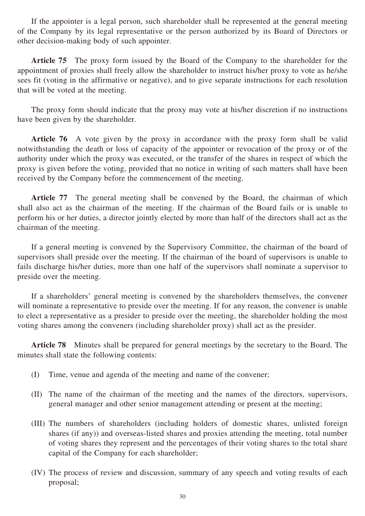If the appointer is a legal person, such shareholder shall be represented at the general meeting of the Company by its legal representative or the person authorized by its Board of Directors or other decision-making body of such appointer.

**Article 75** The proxy form issued by the Board of the Company to the shareholder for the appointment of proxies shall freely allow the shareholder to instruct his/her proxy to vote as he/she sees fit (voting in the affirmative or negative), and to give separate instructions for each resolution that will be voted at the meeting.

The proxy form should indicate that the proxy may vote at his/her discretion if no instructions have been given by the shareholder.

**Article 76** A vote given by the proxy in accordance with the proxy form shall be valid notwithstanding the death or loss of capacity of the appointer or revocation of the proxy or of the authority under which the proxy was executed, or the transfer of the shares in respect of which the proxy is given before the voting, provided that no notice in writing of such matters shall have been received by the Company before the commencement of the meeting.

**Article 77** The general meeting shall be convened by the Board, the chairman of which shall also act as the chairman of the meeting. If the chairman of the Board fails or is unable to perform his or her duties, a director jointly elected by more than half of the directors shall act as the chairman of the meeting.

If a general meeting is convened by the Supervisory Committee, the chairman of the board of supervisors shall preside over the meeting. If the chairman of the board of supervisors is unable to fails discharge his/her duties, more than one half of the supervisors shall nominate a supervisor to preside over the meeting.

If a shareholders' general meeting is convened by the shareholders themselves, the convener will nominate a representative to preside over the meeting. If for any reason, the convener is unable to elect a representative as a presider to preside over the meeting, the shareholder holding the most voting shares among the conveners (including shareholder proxy) shall act as the presider.

**Article 78** Minutes shall be prepared for general meetings by the secretary to the Board. The minutes shall state the following contents:

- (I) Time, venue and agenda of the meeting and name of the convener;
- (II) The name of the chairman of the meeting and the names of the directors, supervisors, general manager and other senior management attending or present at the meeting;
- (III) The numbers of shareholders (including holders of domestic shares, unlisted foreign shares (if any)) and overseas-listed shares and proxies attending the meeting, total number of voting shares they represent and the percentages of their voting shares to the total share capital of the Company for each shareholder;
- (IV) The process of review and discussion, summary of any speech and voting results of each proposal;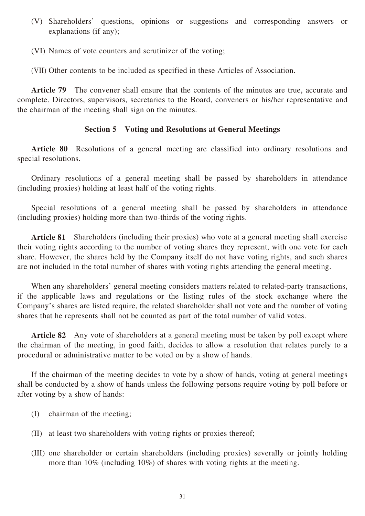- (V) Shareholders' questions, opinions or suggestions and corresponding answers or explanations (if any);
- (VI) Names of vote counters and scrutinizer of the voting;
- (VII) Other contents to be included as specified in these Articles of Association.

**Article 79** The convener shall ensure that the contents of the minutes are true, accurate and complete. Directors, supervisors, secretaries to the Board, conveners or his/her representative and the chairman of the meeting shall sign on the minutes.

#### **Section 5 Voting and Resolutions at General Meetings**

**Article 80** Resolutions of a general meeting are classified into ordinary resolutions and special resolutions.

Ordinary resolutions of a general meeting shall be passed by shareholders in attendance (including proxies) holding at least half of the voting rights.

Special resolutions of a general meeting shall be passed by shareholders in attendance (including proxies) holding more than two-thirds of the voting rights.

**Article 81** Shareholders (including their proxies) who vote at a general meeting shall exercise their voting rights according to the number of voting shares they represent, with one vote for each share. However, the shares held by the Company itself do not have voting rights, and such shares are not included in the total number of shares with voting rights attending the general meeting.

When any shareholders' general meeting considers matters related to related-party transactions, if the applicable laws and regulations or the listing rules of the stock exchange where the Company's shares are listed require, the related shareholder shall not vote and the number of voting shares that he represents shall not be counted as part of the total number of valid votes.

**Article 82** Any vote of shareholders at a general meeting must be taken by poll except where the chairman of the meeting, in good faith, decides to allow a resolution that relates purely to a procedural or administrative matter to be voted on by a show of hands.

If the chairman of the meeting decides to vote by a show of hands, voting at general meetings shall be conducted by a show of hands unless the following persons require voting by poll before or after voting by a show of hands:

- (I) chairman of the meeting;
- (II) at least two shareholders with voting rights or proxies thereof;
- (III) one shareholder or certain shareholders (including proxies) severally or jointly holding more than 10% (including 10%) of shares with voting rights at the meeting.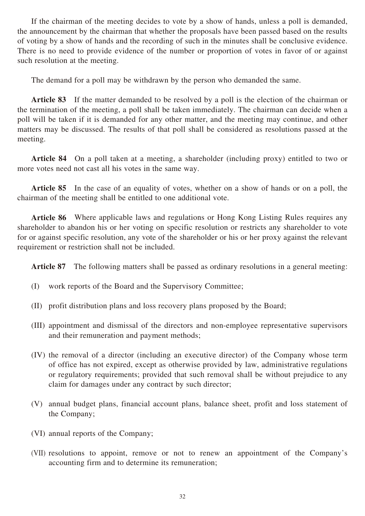If the chairman of the meeting decides to vote by a show of hands, unless a poll is demanded, the announcement by the chairman that whether the proposals have been passed based on the results of voting by a show of hands and the recording of such in the minutes shall be conclusive evidence. There is no need to provide evidence of the number or proportion of votes in favor of or against such resolution at the meeting.

The demand for a poll may be withdrawn by the person who demanded the same.

**Article 83** If the matter demanded to be resolved by a poll is the election of the chairman or the termination of the meeting, a poll shall be taken immediately. The chairman can decide when a poll will be taken if it is demanded for any other matter, and the meeting may continue, and other matters may be discussed. The results of that poll shall be considered as resolutions passed at the meeting.

**Article 84** On a poll taken at a meeting, a shareholder (including proxy) entitled to two or more votes need not cast all his votes in the same way.

**Article 85** In the case of an equality of votes, whether on a show of hands or on a poll, the chairman of the meeting shall be entitled to one additional vote.

**Article 86** Where applicable laws and regulations or Hong Kong Listing Rules requires any shareholder to abandon his or her voting on specific resolution or restricts any shareholder to vote for or against specific resolution, any vote of the shareholder or his or her proxy against the relevant requirement or restriction shall not be included.

**Article 87** The following matters shall be passed as ordinary resolutions in a general meeting:

- (I) work reports of the Board and the Supervisory Committee;
- (II) profit distribution plans and loss recovery plans proposed by the Board;
- (III) appointment and dismissal of the directors and non-employee representative supervisors and their remuneration and payment methods;
- (IV) the removal of a director (including an executive director) of the Company whose term of office has not expired, except as otherwise provided by law, administrative regulations or regulatory requirements; provided that such removal shall be without prejudice to any claim for damages under any contract by such director;
- (V) annual budget plans, financial account plans, balance sheet, profit and loss statement of the Company;
- (VI) annual reports of the Company;
- (VII) resolutions to appoint, remove or not to renew an appointment of the Company's accounting firm and to determine its remuneration;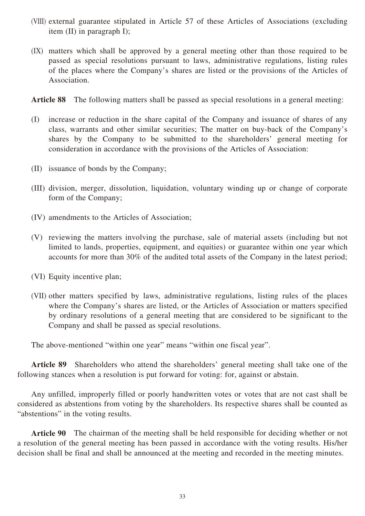- (VIII) external guarantee stipulated in Article 57 of these Articles of Associations (excluding item (II) in paragraph I);
- (IX) matters which shall be approved by a general meeting other than those required to be passed as special resolutions pursuant to laws, administrative regulations, listing rules of the places where the Company's shares are listed or the provisions of the Articles of Association.

**Article 88** The following matters shall be passed as special resolutions in a general meeting:

- (I) increase or reduction in the share capital of the Company and issuance of shares of any class, warrants and other similar securities; The matter on buy-back of the Company's shares by the Company to be submitted to the shareholders' general meeting for consideration in accordance with the provisions of the Articles of Association:
- (II) issuance of bonds by the Company;
- (III) division, merger, dissolution, liquidation, voluntary winding up or change of corporate form of the Company;
- (IV) amendments to the Articles of Association;
- (V) reviewing the matters involving the purchase, sale of material assets (including but not limited to lands, properties, equipment, and equities) or guarantee within one year which accounts for more than 30% of the audited total assets of the Company in the latest period;

(VI) Equity incentive plan;

(VII) other matters specified by laws, administrative regulations, listing rules of the places where the Company's shares are listed, or the Articles of Association or matters specified by ordinary resolutions of a general meeting that are considered to be significant to the Company and shall be passed as special resolutions.

The above-mentioned "within one year" means "within one fiscal year".

**Article 89** Shareholders who attend the shareholders' general meeting shall take one of the following stances when a resolution is put forward for voting: for, against or abstain.

Any unfilled, improperly filled or poorly handwritten votes or votes that are not cast shall be considered as abstentions from voting by the shareholders. Its respective shares shall be counted as "abstentions" in the voting results.

**Article 90** The chairman of the meeting shall be held responsible for deciding whether or not a resolution of the general meeting has been passed in accordance with the voting results. His/her decision shall be final and shall be announced at the meeting and recorded in the meeting minutes.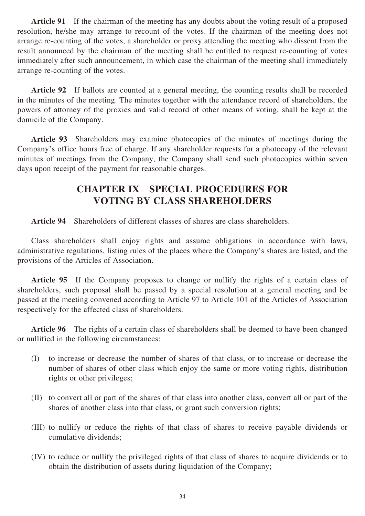**Article 91** If the chairman of the meeting has any doubts about the voting result of a proposed resolution, he/she may arrange to recount of the votes. If the chairman of the meeting does not arrange re-counting of the votes, a shareholder or proxy attending the meeting who dissent from the result announced by the chairman of the meeting shall be entitled to request re-counting of votes immediately after such announcement, in which case the chairman of the meeting shall immediately arrange re-counting of the votes.

**Article 92** If ballots are counted at a general meeting, the counting results shall be recorded in the minutes of the meeting. The minutes together with the attendance record of shareholders, the powers of attorney of the proxies and valid record of other means of voting, shall be kept at the domicile of the Company.

**Article 93** Shareholders may examine photocopies of the minutes of meetings during the Company's office hours free of charge. If any shareholder requests for a photocopy of the relevant minutes of meetings from the Company, the Company shall send such photocopies within seven days upon receipt of the payment for reasonable charges.

## **CHAPTER IX SPECIAL PROCEDURES FOR VOTING BY CLASS SHAREHOLDERS**

**Article 94** Shareholders of different classes of shares are class shareholders.

Class shareholders shall enjoy rights and assume obligations in accordance with laws, administrative regulations, listing rules of the places where the Company's shares are listed, and the provisions of the Articles of Association.

**Article 95** If the Company proposes to change or nullify the rights of a certain class of shareholders, such proposal shall be passed by a special resolution at a general meeting and be passed at the meeting convened according to Article 97 to Article 101 of the Articles of Association respectively for the affected class of shareholders.

**Article 96** The rights of a certain class of shareholders shall be deemed to have been changed or nullified in the following circumstances:

- (I) to increase or decrease the number of shares of that class, or to increase or decrease the number of shares of other class which enjoy the same or more voting rights, distribution rights or other privileges;
- (II) to convert all or part of the shares of that class into another class, convert all or part of the shares of another class into that class, or grant such conversion rights;
- (III) to nullify or reduce the rights of that class of shares to receive payable dividends or cumulative dividends;
- (IV) to reduce or nullify the privileged rights of that class of shares to acquire dividends or to obtain the distribution of assets during liquidation of the Company;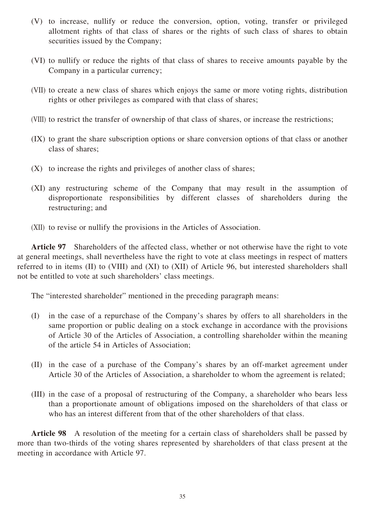- (V) to increase, nullify or reduce the conversion, option, voting, transfer or privileged allotment rights of that class of shares or the rights of such class of shares to obtain securities issued by the Company;
- (VI) to nullify or reduce the rights of that class of shares to receive amounts payable by the Company in a particular currency;
- (VII) to create a new class of shares which enjoys the same or more voting rights, distribution rights or other privileges as compared with that class of shares;
- (VIII) to restrict the transfer of ownership of that class of shares, or increase the restrictions;
- (IX) to grant the share subscription options or share conversion options of that class or another class of shares;
- (X) to increase the rights and privileges of another class of shares;
- (XI) any restructuring scheme of the Company that may result in the assumption of disproportionate responsibilities by different classes of shareholders during the restructuring; and
- (XII) to revise or nullify the provisions in the Articles of Association.

**Article 97** Shareholders of the affected class, whether or not otherwise have the right to vote at general meetings, shall nevertheless have the right to vote at class meetings in respect of matters referred to in items (II) to (VIII) and (XI) to (XII) of Article 96, but interested shareholders shall not be entitled to vote at such shareholders' class meetings.

The "interested shareholder" mentioned in the preceding paragraph means:

- (I) in the case of a repurchase of the Company's shares by offers to all shareholders in the same proportion or public dealing on a stock exchange in accordance with the provisions of Article 30 of the Articles of Association, a controlling shareholder within the meaning of the article 54 in Articles of Association;
- (II) in the case of a purchase of the Company's shares by an off-market agreement under Article 30 of the Articles of Association, a shareholder to whom the agreement is related;
- (III) in the case of a proposal of restructuring of the Company, a shareholder who bears less than a proportionate amount of obligations imposed on the shareholders of that class or who has an interest different from that of the other shareholders of that class.

**Article 98** A resolution of the meeting for a certain class of shareholders shall be passed by more than two-thirds of the voting shares represented by shareholders of that class present at the meeting in accordance with Article 97.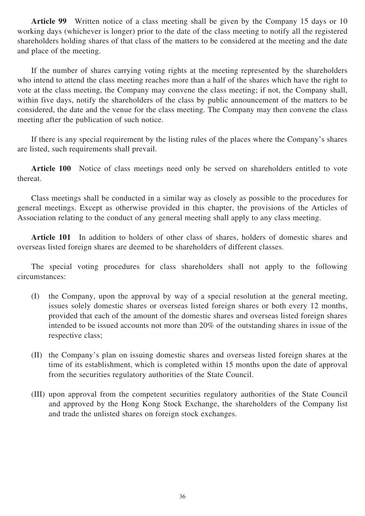**Article 99** Written notice of a class meeting shall be given by the Company 15 days or 10 working days (whichever is longer) prior to the date of the class meeting to notify all the registered shareholders holding shares of that class of the matters to be considered at the meeting and the date and place of the meeting.

If the number of shares carrying voting rights at the meeting represented by the shareholders who intend to attend the class meeting reaches more than a half of the shares which have the right to vote at the class meeting, the Company may convene the class meeting; if not, the Company shall, within five days, notify the shareholders of the class by public announcement of the matters to be considered, the date and the venue for the class meeting. The Company may then convene the class meeting after the publication of such notice.

If there is any special requirement by the listing rules of the places where the Company's shares are listed, such requirements shall prevail.

Article 100 Notice of class meetings need only be served on shareholders entitled to vote thereat.

Class meetings shall be conducted in a similar way as closely as possible to the procedures for general meetings. Except as otherwise provided in this chapter, the provisions of the Articles of Association relating to the conduct of any general meeting shall apply to any class meeting.

**Article 101** In addition to holders of other class of shares, holders of domestic shares and overseas listed foreign shares are deemed to be shareholders of different classes.

The special voting procedures for class shareholders shall not apply to the following circumstances:

- (I) the Company, upon the approval by way of a special resolution at the general meeting, issues solely domestic shares or overseas listed foreign shares or both every 12 months, provided that each of the amount of the domestic shares and overseas listed foreign shares intended to be issued accounts not more than 20% of the outstanding shares in issue of the respective class;
- (II) the Company's plan on issuing domestic shares and overseas listed foreign shares at the time of its establishment, which is completed within 15 months upon the date of approval from the securities regulatory authorities of the State Council.
- (III) upon approval from the competent securities regulatory authorities of the State Council and approved by the Hong Kong Stock Exchange, the shareholders of the Company list and trade the unlisted shares on foreign stock exchanges.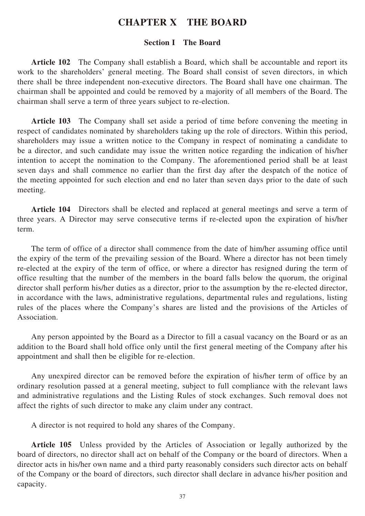### **CHAPTER X THE BOARD**

#### **Section I The Board**

**Article 102** The Company shall establish a Board, which shall be accountable and report its work to the shareholders' general meeting. The Board shall consist of seven directors, in which there shall be three independent non-executive directors. The Board shall have one chairman. The chairman shall be appointed and could be removed by a majority of all members of the Board. The chairman shall serve a term of three years subject to re-election.

**Article 103** The Company shall set aside a period of time before convening the meeting in respect of candidates nominated by shareholders taking up the role of directors. Within this period, shareholders may issue a written notice to the Company in respect of nominating a candidate to be a director, and such candidate may issue the written notice regarding the indication of his/her intention to accept the nomination to the Company. The aforementioned period shall be at least seven days and shall commence no earlier than the first day after the despatch of the notice of the meeting appointed for such election and end no later than seven days prior to the date of such meeting.

**Article 104** Directors shall be elected and replaced at general meetings and serve a term of three years. A Director may serve consecutive terms if re-elected upon the expiration of his/her term.

The term of office of a director shall commence from the date of him/her assuming office until the expiry of the term of the prevailing session of the Board. Where a director has not been timely re-elected at the expiry of the term of office, or where a director has resigned during the term of office resulting that the number of the members in the board falls below the quorum, the original director shall perform his/her duties as a director, prior to the assumption by the re-elected director, in accordance with the laws, administrative regulations, departmental rules and regulations, listing rules of the places where the Company's shares are listed and the provisions of the Articles of Association.

Any person appointed by the Board as a Director to fill a casual vacancy on the Board or as an addition to the Board shall hold office only until the first general meeting of the Company after his appointment and shall then be eligible for re-election.

Any unexpired director can be removed before the expiration of his/her term of office by an ordinary resolution passed at a general meeting, subject to full compliance with the relevant laws and administrative regulations and the Listing Rules of stock exchanges. Such removal does not affect the rights of such director to make any claim under any contract.

A director is not required to hold any shares of the Company.

**Article 105** Unless provided by the Articles of Association or legally authorized by the board of directors, no director shall act on behalf of the Company or the board of directors. When a director acts in his/her own name and a third party reasonably considers such director acts on behalf of the Company or the board of directors, such director shall declare in advance his/her position and capacity.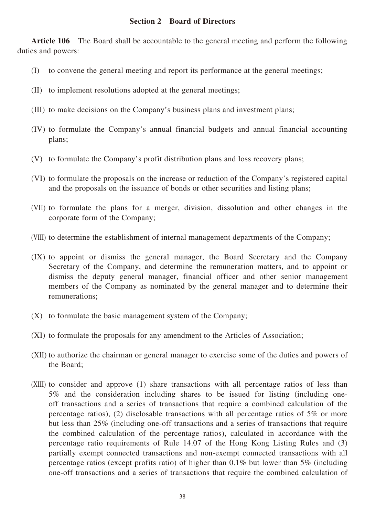#### **Section 2 Board of Directors**

**Article 106** The Board shall be accountable to the general meeting and perform the following duties and powers:

- (I) to convene the general meeting and report its performance at the general meetings;
- (II) to implement resolutions adopted at the general meetings;
- (III) to make decisions on the Company's business plans and investment plans;
- (IV) to formulate the Company's annual financial budgets and annual financial accounting plans;
- (V) to formulate the Company's profit distribution plans and loss recovery plans;
- (VI) to formulate the proposals on the increase or reduction of the Company's registered capital and the proposals on the issuance of bonds or other securities and listing plans;
- (VII) to formulate the plans for a merger, division, dissolution and other changes in the corporate form of the Company;
- (VIII) to determine the establishment of internal management departments of the Company;
- (IX) to appoint or dismiss the general manager, the Board Secretary and the Company Secretary of the Company, and determine the remuneration matters, and to appoint or dismiss the deputy general manager, financial officer and other senior management members of the Company as nominated by the general manager and to determine their remunerations;
- (X) to formulate the basic management system of the Company;
- (XI) to formulate the proposals for any amendment to the Articles of Association;
- (XII) to authorize the chairman or general manager to exercise some of the duties and powers of the Board;
- (XIII) to consider and approve (1) share transactions with all percentage ratios of less than 5% and the consideration including shares to be issued for listing (including oneoff transactions and a series of transactions that require a combined calculation of the percentage ratios), (2) disclosable transactions with all percentage ratios of 5% or more but less than 25% (including one-off transactions and a series of transactions that require the combined calculation of the percentage ratios), calculated in accordance with the percentage ratio requirements of Rule 14.07 of the Hong Kong Listing Rules and (3) partially exempt connected transactions and non-exempt connected transactions with all percentage ratios (except profits ratio) of higher than 0.1% but lower than 5% (including one-off transactions and a series of transactions that require the combined calculation of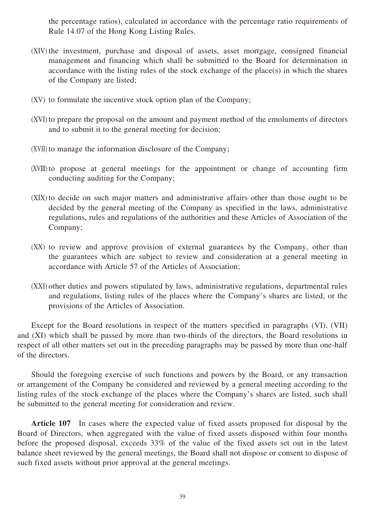the percentage ratios), calculated in accordance with the percentage ratio requirements of Rule 14.07 of the Hong Kong Listing Rules.

- (XIV) the investment, purchase and disposal of assets, asset mortgage, consigned financial management and financing which shall be submitted to the Board for determination in accordance with the listing rules of the stock exchange of the place(s) in which the shares of the Company are listed;
- (XV) to formulate the incentive stock option plan of the Company;
- (XVI) to prepare the proposal on the amount and payment method of the emoluments of directors and to submit it to the general meeting for decision;
- (XVII) to manage the information disclosure of the Company;
- (XVIII) to propose at general meetings for the appointment or change of accounting firm conducting auditing for the Company;
- (XIX) to decide on such major matters and administrative affairs other than those ought to be decided by the general meeting of the Company as specified in the laws, administrative regulations, rules and regulations of the authorities and these Articles of Association of the Company;
- (XX) to review and approve provision of external guarantees by the Company, other than the guarantees which are subject to review and consideration at a general meeting in accordance with Article 57 of the Articles of Association;
- (XXI) other duties and powers stipulated by laws, administrative regulations, departmental rules and regulations, listing rules of the places where the Company's shares are listed, or the provisions of the Articles of Association.

Except for the Board resolutions in respect of the matters specified in paragraphs (VI), (VII) and (XI) which shall be passed by more than two-thirds of the directors, the Board resolutions in respect of all other matters set out in the preceding paragraphs may be passed by more than one-half of the directors.

Should the foregoing exercise of such functions and powers by the Board, or any transaction or arrangement of the Company be considered and reviewed by a general meeting according to the listing rules of the stock exchange of the places where the Company's shares are listed, such shall be submitted to the general meeting for consideration and review.

**Article 107** In cases where the expected value of fixed assets proposed for disposal by the Board of Directors, when aggregated with the value of fixed assets disposed within four months before the proposed disposal, exceeds 33% of the value of the fixed assets set out in the latest balance sheet reviewed by the general meetings, the Board shall not dispose or consent to dispose of such fixed assets without prior approval at the general meetings.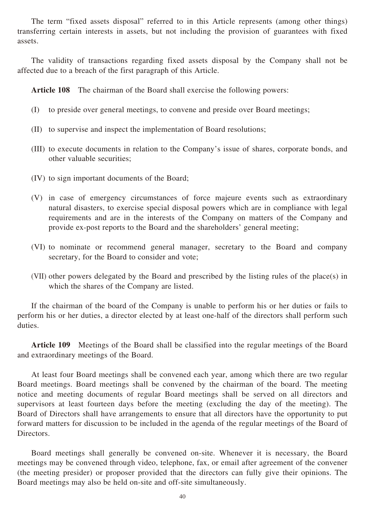The term "fixed assets disposal" referred to in this Article represents (among other things) transferring certain interests in assets, but not including the provision of guarantees with fixed assets.

The validity of transactions regarding fixed assets disposal by the Company shall not be affected due to a breach of the first paragraph of this Article.

**Article 108** The chairman of the Board shall exercise the following powers:

- (I) to preside over general meetings, to convene and preside over Board meetings;
- (II) to supervise and inspect the implementation of Board resolutions;
- (III) to execute documents in relation to the Company's issue of shares, corporate bonds, and other valuable securities;
- (IV) to sign important documents of the Board;
- (V) in case of emergency circumstances of force majeure events such as extraordinary natural disasters, to exercise special disposal powers which are in compliance with legal requirements and are in the interests of the Company on matters of the Company and provide ex-post reports to the Board and the shareholders' general meeting;
- (VI) to nominate or recommend general manager, secretary to the Board and company secretary, for the Board to consider and vote;
- (VII) other powers delegated by the Board and prescribed by the listing rules of the place(s) in which the shares of the Company are listed.

If the chairman of the board of the Company is unable to perform his or her duties or fails to perform his or her duties, a director elected by at least one-half of the directors shall perform such duties.

**Article 109** Meetings of the Board shall be classified into the regular meetings of the Board and extraordinary meetings of the Board.

At least four Board meetings shall be convened each year, among which there are two regular Board meetings. Board meetings shall be convened by the chairman of the board. The meeting notice and meeting documents of regular Board meetings shall be served on all directors and supervisors at least fourteen days before the meeting (excluding the day of the meeting). The Board of Directors shall have arrangements to ensure that all directors have the opportunity to put forward matters for discussion to be included in the agenda of the regular meetings of the Board of Directors.

Board meetings shall generally be convened on-site. Whenever it is necessary, the Board meetings may be convened through video, telephone, fax, or email after agreement of the convener (the meeting presider) or proposer provided that the directors can fully give their opinions. The Board meetings may also be held on-site and off-site simultaneously.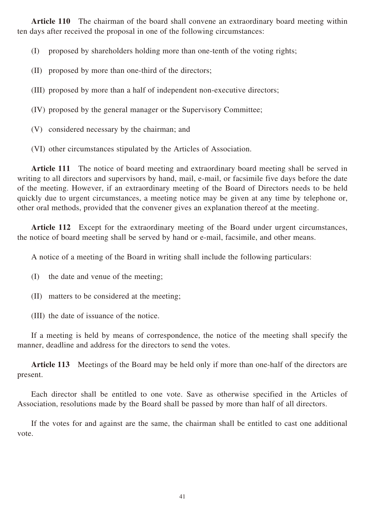**Article 110** The chairman of the board shall convene an extraordinary board meeting within ten days after received the proposal in one of the following circumstances:

(I) proposed by shareholders holding more than one-tenth of the voting rights;

- (II) proposed by more than one-third of the directors;
- (III) proposed by more than a half of independent non-executive directors;
- (IV) proposed by the general manager or the Supervisory Committee;
- (V) considered necessary by the chairman; and
- (VI) other circumstances stipulated by the Articles of Association.

**Article 111** The notice of board meeting and extraordinary board meeting shall be served in writing to all directors and supervisors by hand, mail, e-mail, or facsimile five days before the date of the meeting. However, if an extraordinary meeting of the Board of Directors needs to be held quickly due to urgent circumstances, a meeting notice may be given at any time by telephone or, other oral methods, provided that the convener gives an explanation thereof at the meeting.

Article 112 Except for the extraordinary meeting of the Board under urgent circumstances, the notice of board meeting shall be served by hand or e-mail, facsimile, and other means.

A notice of a meeting of the Board in writing shall include the following particulars:

- (I) the date and venue of the meeting;
- (II) matters to be considered at the meeting;
- (III) the date of issuance of the notice.

If a meeting is held by means of correspondence, the notice of the meeting shall specify the manner, deadline and address for the directors to send the votes.

**Article 113** Meetings of the Board may be held only if more than one-half of the directors are present.

Each director shall be entitled to one vote. Save as otherwise specified in the Articles of Association, resolutions made by the Board shall be passed by more than half of all directors.

If the votes for and against are the same, the chairman shall be entitled to cast one additional vote.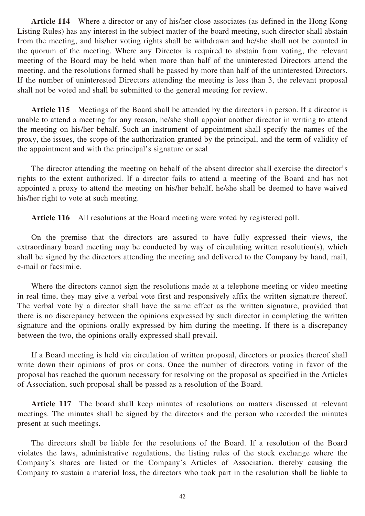**Article 114** Where a director or any of his/her close associates (as defined in the Hong Kong Listing Rules) has any interest in the subject matter of the board meeting, such director shall abstain from the meeting, and his/her voting rights shall be withdrawn and he/she shall not be counted in the quorum of the meeting. Where any Director is required to abstain from voting, the relevant meeting of the Board may be held when more than half of the uninterested Directors attend the meeting, and the resolutions formed shall be passed by more than half of the uninterested Directors. If the number of uninterested Directors attending the meeting is less than 3, the relevant proposal shall not be voted and shall be submitted to the general meeting for review.

**Article 115** Meetings of the Board shall be attended by the directors in person. If a director is unable to attend a meeting for any reason, he/she shall appoint another director in writing to attend the meeting on his/her behalf. Such an instrument of appointment shall specify the names of the proxy, the issues, the scope of the authorization granted by the principal, and the term of validity of the appointment and with the principal's signature or seal.

The director attending the meeting on behalf of the absent director shall exercise the director's rights to the extent authorized. If a director fails to attend a meeting of the Board and has not appointed a proxy to attend the meeting on his/her behalf, he/she shall be deemed to have waived his/her right to vote at such meeting.

**Article 116** All resolutions at the Board meeting were voted by registered poll.

On the premise that the directors are assured to have fully expressed their views, the extraordinary board meeting may be conducted by way of circulating written resolution(s), which shall be signed by the directors attending the meeting and delivered to the Company by hand, mail, e-mail or facsimile.

Where the directors cannot sign the resolutions made at a telephone meeting or video meeting in real time, they may give a verbal vote first and responsively affix the written signature thereof. The verbal vote by a director shall have the same effect as the written signature, provided that there is no discrepancy between the opinions expressed by such director in completing the written signature and the opinions orally expressed by him during the meeting. If there is a discrepancy between the two, the opinions orally expressed shall prevail.

If a Board meeting is held via circulation of written proposal, directors or proxies thereof shall write down their opinions of pros or cons. Once the number of directors voting in favor of the proposal has reached the quorum necessary for resolving on the proposal as specified in the Articles of Association, such proposal shall be passed as a resolution of the Board.

**Article 117** The board shall keep minutes of resolutions on matters discussed at relevant meetings. The minutes shall be signed by the directors and the person who recorded the minutes present at such meetings.

The directors shall be liable for the resolutions of the Board. If a resolution of the Board violates the laws, administrative regulations, the listing rules of the stock exchange where the Company's shares are listed or the Company's Articles of Association, thereby causing the Company to sustain a material loss, the directors who took part in the resolution shall be liable to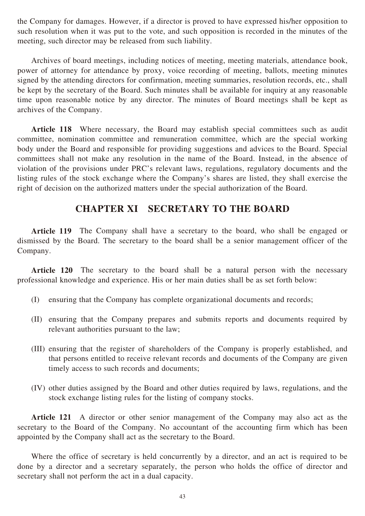the Company for damages. However, if a director is proved to have expressed his/her opposition to such resolution when it was put to the vote, and such opposition is recorded in the minutes of the meeting, such director may be released from such liability.

Archives of board meetings, including notices of meeting, meeting materials, attendance book, power of attorney for attendance by proxy, voice recording of meeting, ballots, meeting minutes signed by the attending directors for confirmation, meeting summaries, resolution records, etc., shall be kept by the secretary of the Board. Such minutes shall be available for inquiry at any reasonable time upon reasonable notice by any director. The minutes of Board meetings shall be kept as archives of the Company.

Article 118 Where necessary, the Board may establish special committees such as audit committee, nomination committee and remuneration committee, which are the special working body under the Board and responsible for providing suggestions and advices to the Board. Special committees shall not make any resolution in the name of the Board. Instead, in the absence of violation of the provisions under PRC's relevant laws, regulations, regulatory documents and the listing rules of the stock exchange where the Company's shares are listed, they shall exercise the right of decision on the authorized matters under the special authorization of the Board.

### **CHAPTER XI SECRETARY TO THE BOARD**

**Article 119** The Company shall have a secretary to the board, who shall be engaged or dismissed by the Board. The secretary to the board shall be a senior management officer of the Company.

**Article 120** The secretary to the board shall be a natural person with the necessary professional knowledge and experience. His or her main duties shall be as set forth below:

- (I) ensuring that the Company has complete organizational documents and records;
- (II) ensuring that the Company prepares and submits reports and documents required by relevant authorities pursuant to the law;
- (III) ensuring that the register of shareholders of the Company is properly established, and that persons entitled to receive relevant records and documents of the Company are given timely access to such records and documents;
- (IV) other duties assigned by the Board and other duties required by laws, regulations, and the stock exchange listing rules for the listing of company stocks.

**Article 121** A director or other senior management of the Company may also act as the secretary to the Board of the Company. No accountant of the accounting firm which has been appointed by the Company shall act as the secretary to the Board.

Where the office of secretary is held concurrently by a director, and an act is required to be done by a director and a secretary separately, the person who holds the office of director and secretary shall not perform the act in a dual capacity.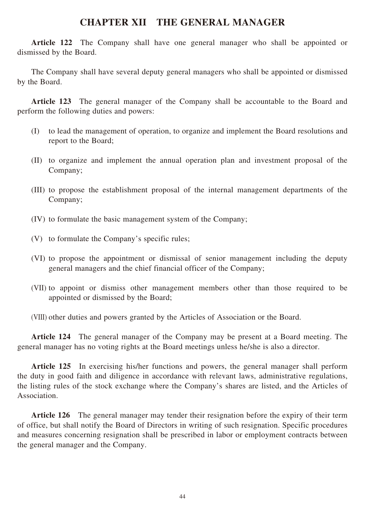#### **CHAPTER XII THE GENERAL MANAGER**

**Article 122** The Company shall have one general manager who shall be appointed or dismissed by the Board.

The Company shall have several deputy general managers who shall be appointed or dismissed by the Board.

**Article 123** The general manager of the Company shall be accountable to the Board and perform the following duties and powers:

- (I) to lead the management of operation, to organize and implement the Board resolutions and report to the Board;
- (II) to organize and implement the annual operation plan and investment proposal of the Company;
- (III) to propose the establishment proposal of the internal management departments of the Company;
- (IV) to formulate the basic management system of the Company;
- (V) to formulate the Company's specific rules;
- (VI) to propose the appointment or dismissal of senior management including the deputy general managers and the chief financial officer of the Company;
- (VII) to appoint or dismiss other management members other than those required to be appointed or dismissed by the Board;

(VIII) other duties and powers granted by the Articles of Association or the Board.

**Article 124** The general manager of the Company may be present at a Board meeting. The general manager has no voting rights at the Board meetings unless he/she is also a director.

**Article 125** In exercising his/her functions and powers, the general manager shall perform the duty in good faith and diligence in accordance with relevant laws, administrative regulations, the listing rules of the stock exchange where the Company's shares are listed, and the Articles of Association.

**Article 126** The general manager may tender their resignation before the expiry of their term of office, but shall notify the Board of Directors in writing of such resignation. Specific procedures and measures concerning resignation shall be prescribed in labor or employment contracts between the general manager and the Company.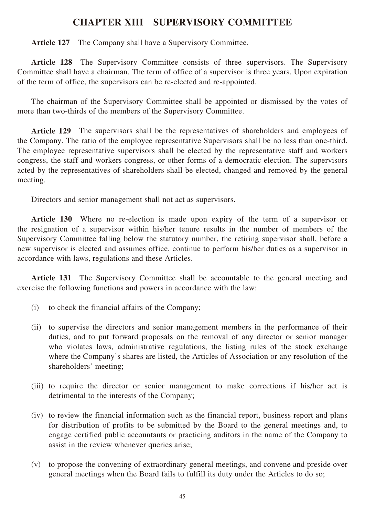### **CHAPTER XIII SUPERVISORY COMMITTEE**

**Article 127** The Company shall have a Supervisory Committee.

Article 128 The Supervisory Committee consists of three supervisors. The Supervisory Committee shall have a chairman. The term of office of a supervisor is three years. Upon expiration of the term of office, the supervisors can be re-elected and re-appointed.

The chairman of the Supervisory Committee shall be appointed or dismissed by the votes of more than two-thirds of the members of the Supervisory Committee.

Article 129 The supervisors shall be the representatives of shareholders and employees of the Company. The ratio of the employee representative Supervisors shall be no less than one-third. The employee representative supervisors shall be elected by the representative staff and workers congress, the staff and workers congress, or other forms of a democratic election. The supervisors acted by the representatives of shareholders shall be elected, changed and removed by the general meeting.

Directors and senior management shall not act as supervisors.

**Article 130** Where no re-election is made upon expiry of the term of a supervisor or the resignation of a supervisor within his/her tenure results in the number of members of the Supervisory Committee falling below the statutory number, the retiring supervisor shall, before a new supervisor is elected and assumes office, continue to perform his/her duties as a supervisor in accordance with laws, regulations and these Articles.

Article 131 The Supervisory Committee shall be accountable to the general meeting and exercise the following functions and powers in accordance with the law:

- (i) to check the financial affairs of the Company;
- (ii) to supervise the directors and senior management members in the performance of their duties, and to put forward proposals on the removal of any director or senior manager who violates laws, administrative regulations, the listing rules of the stock exchange where the Company's shares are listed, the Articles of Association or any resolution of the shareholders' meeting;
- (iii) to require the director or senior management to make corrections if his/her act is detrimental to the interests of the Company;
- (iv) to review the financial information such as the financial report, business report and plans for distribution of profits to be submitted by the Board to the general meetings and, to engage certified public accountants or practicing auditors in the name of the Company to assist in the review whenever queries arise;
- (v) to propose the convening of extraordinary general meetings, and convene and preside over general meetings when the Board fails to fulfill its duty under the Articles to do so;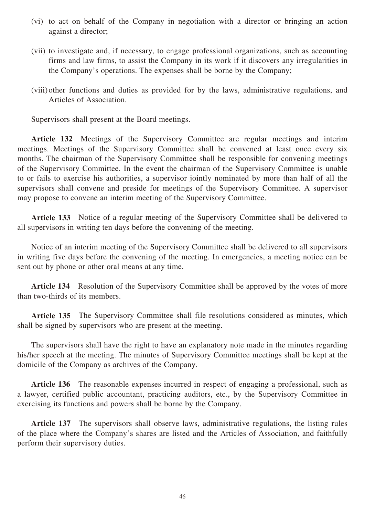- (vi) to act on behalf of the Company in negotiation with a director or bringing an action against a director;
- (vii) to investigate and, if necessary, to engage professional organizations, such as accounting firms and law firms, to assist the Company in its work if it discovers any irregularities in the Company's operations. The expenses shall be borne by the Company;
- (viii)other functions and duties as provided for by the laws, administrative regulations, and Articles of Association.

Supervisors shall present at the Board meetings.

**Article 132** Meetings of the Supervisory Committee are regular meetings and interim meetings. Meetings of the Supervisory Committee shall be convened at least once every six months. The chairman of the Supervisory Committee shall be responsible for convening meetings of the Supervisory Committee. In the event the chairman of the Supervisory Committee is unable to or fails to exercise his authorities, a supervisor jointly nominated by more than half of all the supervisors shall convene and preside for meetings of the Supervisory Committee. A supervisor may propose to convene an interim meeting of the Supervisory Committee.

**Article 133** Notice of a regular meeting of the Supervisory Committee shall be delivered to all supervisors in writing ten days before the convening of the meeting.

Notice of an interim meeting of the Supervisory Committee shall be delivered to all supervisors in writing five days before the convening of the meeting. In emergencies, a meeting notice can be sent out by phone or other oral means at any time.

**Article 134** Resolution of the Supervisory Committee shall be approved by the votes of more than two-thirds of its members.

**Article 135** The Supervisory Committee shall file resolutions considered as minutes, which shall be signed by supervisors who are present at the meeting.

The supervisors shall have the right to have an explanatory note made in the minutes regarding his/her speech at the meeting. The minutes of Supervisory Committee meetings shall be kept at the domicile of the Company as archives of the Company.

**Article 136** The reasonable expenses incurred in respect of engaging a professional, such as a lawyer, certified public accountant, practicing auditors, etc., by the Supervisory Committee in exercising its functions and powers shall be borne by the Company.

**Article 137** The supervisors shall observe laws, administrative regulations, the listing rules of the place where the Company's shares are listed and the Articles of Association, and faithfully perform their supervisory duties.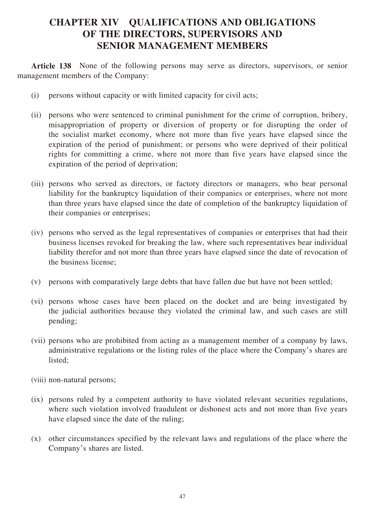## **CHAPTER XIV QUALIFICATIONS AND OBLIGATIONS OF THE DIRECTORS, SUPERVISORS AND SENIOR MANAGEMENT MEMBERS**

**Article 138** None of the following persons may serve as directors, supervisors, or senior management members of the Company:

- (i) persons without capacity or with limited capacity for civil acts;
- (ii) persons who were sentenced to criminal punishment for the crime of corruption, bribery, misappropriation of property or diversion of property or for disrupting the order of the socialist market economy, where not more than five years have elapsed since the expiration of the period of punishment; or persons who were deprived of their political rights for committing a crime, where not more than five years have elapsed since the expiration of the period of deprivation;
- (iii) persons who served as directors, or factory directors or managers, who bear personal liability for the bankruptcy liquidation of their companies or enterprises, where not more than three years have elapsed since the date of completion of the bankruptcy liquidation of their companies or enterprises;
- (iv) persons who served as the legal representatives of companies or enterprises that had their business licenses revoked for breaking the law, where such representatives bear individual liability therefor and not more than three years have elapsed since the date of revocation of the business license;
- (v) persons with comparatively large debts that have fallen due but have not been settled;
- (vi) persons whose cases have been placed on the docket and are being investigated by the judicial authorities because they violated the criminal law, and such cases are still pending;
- (vii) persons who are prohibited from acting as a management member of a company by laws, administrative regulations or the listing rules of the place where the Company's shares are listed;
- (viii) non-natural persons;
- (ix) persons ruled by a competent authority to have violated relevant securities regulations, where such violation involved fraudulent or dishonest acts and not more than five years have elapsed since the date of the ruling;
- (x) other circumstances specified by the relevant laws and regulations of the place where the Company's shares are listed.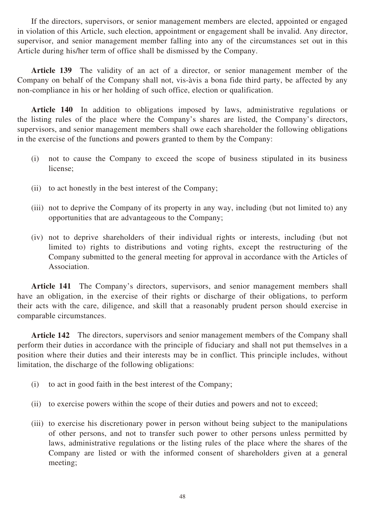If the directors, supervisors, or senior management members are elected, appointed or engaged in violation of this Article, such election, appointment or engagement shall be invalid. Any director, supervisor, and senior management member falling into any of the circumstances set out in this Article during his/her term of office shall be dismissed by the Company.

Article 139 The validity of an act of a director, or senior management member of the Company on behalf of the Company shall not, vis-àvis a bona fide third party, be affected by any non-compliance in his or her holding of such office, election or qualification.

**Article 140** In addition to obligations imposed by laws, administrative regulations or the listing rules of the place where the Company's shares are listed, the Company's directors, supervisors, and senior management members shall owe each shareholder the following obligations in the exercise of the functions and powers granted to them by the Company:

- (i) not to cause the Company to exceed the scope of business stipulated in its business license;
- (ii) to act honestly in the best interest of the Company;
- (iii) not to deprive the Company of its property in any way, including (but not limited to) any opportunities that are advantageous to the Company;
- (iv) not to deprive shareholders of their individual rights or interests, including (but not limited to) rights to distributions and voting rights, except the restructuring of the Company submitted to the general meeting for approval in accordance with the Articles of Association.

**Article 141** The Company's directors, supervisors, and senior management members shall have an obligation, in the exercise of their rights or discharge of their obligations, to perform their acts with the care, diligence, and skill that a reasonably prudent person should exercise in comparable circumstances.

**Article 142** The directors, supervisors and senior management members of the Company shall perform their duties in accordance with the principle of fiduciary and shall not put themselves in a position where their duties and their interests may be in conflict. This principle includes, without limitation, the discharge of the following obligations:

- (i) to act in good faith in the best interest of the Company;
- (ii) to exercise powers within the scope of their duties and powers and not to exceed;
- (iii) to exercise his discretionary power in person without being subject to the manipulations of other persons, and not to transfer such power to other persons unless permitted by laws, administrative regulations or the listing rules of the place where the shares of the Company are listed or with the informed consent of shareholders given at a general meeting;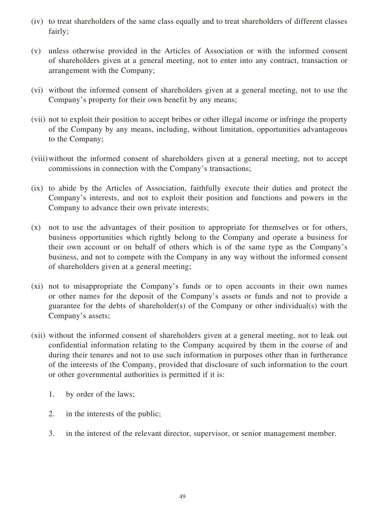- (iv) to treat shareholders of the same class equally and to treat shareholders of different classes fairly;
- (v) unless otherwise provided in the Articles of Association or with the informed consent of shareholders given at a general meeting, not to enter into any contract, transaction or arrangement with the Company;
- (vi) without the informed consent of shareholders given at a general meeting, not to use the Company's property for their own benefit by any means;
- (vii) not to exploit their position to accept bribes or other illegal income or infringe the property of the Company by any means, including, without limitation, opportunities advantageous to the Company;
- (viii)without the informed consent of shareholders given at a general meeting, not to accept commissions in connection with the Company's transactions;
- (ix) to abide by the Articles of Association, faithfully execute their duties and protect the Company's interests, and not to exploit their position and functions and powers in the Company to advance their own private interests;
- (x) not to use the advantages of their position to appropriate for themselves or for others, business opportunities which rightly belong to the Company and operate a business for their own account or on behalf of others which is of the same type as the Company's business, and not to compete with the Company in any way without the informed consent of shareholders given at a general meeting;
- (xi) not to misappropriate the Company's funds or to open accounts in their own names or other names for the deposit of the Company's assets or funds and not to provide a guarantee for the debts of shareholder(s) of the Company or other individual(s) with the Company's assets;
- (xii) without the informed consent of shareholders given at a general meeting, not to leak out confidential information relating to the Company acquired by them in the course of and during their tenures and not to use such information in purposes other than in furtherance of the interests of the Company, provided that disclosure of such information to the court or other governmental authorities is permitted if it is:
	- 1. by order of the laws;
	- 2. in the interests of the public;
	- 3. in the interest of the relevant director, supervisor, or senior management member.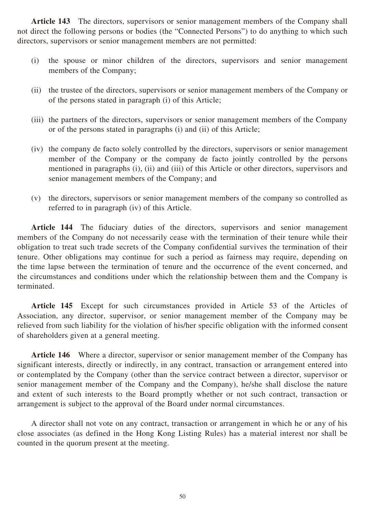**Article 143** The directors, supervisors or senior management members of the Company shall not direct the following persons or bodies (the "Connected Persons") to do anything to which such directors, supervisors or senior management members are not permitted:

- (i) the spouse or minor children of the directors, supervisors and senior management members of the Company;
- (ii) the trustee of the directors, supervisors or senior management members of the Company or of the persons stated in paragraph (i) of this Article;
- (iii) the partners of the directors, supervisors or senior management members of the Company or of the persons stated in paragraphs (i) and (ii) of this Article;
- (iv) the company de facto solely controlled by the directors, supervisors or senior management member of the Company or the company de facto jointly controlled by the persons mentioned in paragraphs (i), (ii) and (iii) of this Article or other directors, supervisors and senior management members of the Company; and
- (v) the directors, supervisors or senior management members of the company so controlled as referred to in paragraph (iv) of this Article.

**Article 144** The fiduciary duties of the directors, supervisors and senior management members of the Company do not necessarily cease with the termination of their tenure while their obligation to treat such trade secrets of the Company confidential survives the termination of their tenure. Other obligations may continue for such a period as fairness may require, depending on the time lapse between the termination of tenure and the occurrence of the event concerned, and the circumstances and conditions under which the relationship between them and the Company is terminated.

**Article 145** Except for such circumstances provided in Article 53 of the Articles of Association, any director, supervisor, or senior management member of the Company may be relieved from such liability for the violation of his/her specific obligation with the informed consent of shareholders given at a general meeting.

**Article 146** Where a director, supervisor or senior management member of the Company has significant interests, directly or indirectly, in any contract, transaction or arrangement entered into or contemplated by the Company (other than the service contract between a director, supervisor or senior management member of the Company and the Company), he/she shall disclose the nature and extent of such interests to the Board promptly whether or not such contract, transaction or arrangement is subject to the approval of the Board under normal circumstances.

A director shall not vote on any contract, transaction or arrangement in which he or any of his close associates (as defined in the Hong Kong Listing Rules) has a material interest nor shall be counted in the quorum present at the meeting.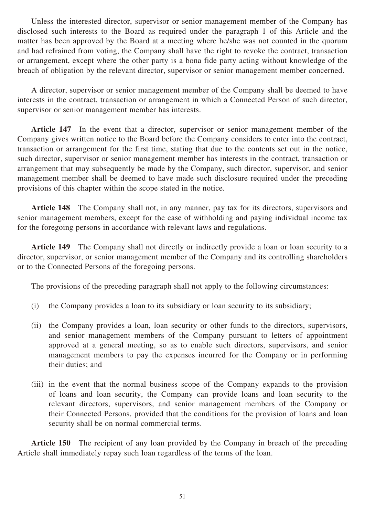Unless the interested director, supervisor or senior management member of the Company has disclosed such interests to the Board as required under the paragraph 1 of this Article and the matter has been approved by the Board at a meeting where he/she was not counted in the quorum and had refrained from voting, the Company shall have the right to revoke the contract, transaction or arrangement, except where the other party is a bona fide party acting without knowledge of the breach of obligation by the relevant director, supervisor or senior management member concerned.

A director, supervisor or senior management member of the Company shall be deemed to have interests in the contract, transaction or arrangement in which a Connected Person of such director, supervisor or senior management member has interests.

**Article 147** In the event that a director, supervisor or senior management member of the Company gives written notice to the Board before the Company considers to enter into the contract, transaction or arrangement for the first time, stating that due to the contents set out in the notice, such director, supervisor or senior management member has interests in the contract, transaction or arrangement that may subsequently be made by the Company, such director, supervisor, and senior management member shall be deemed to have made such disclosure required under the preceding provisions of this chapter within the scope stated in the notice.

**Article 148** The Company shall not, in any manner, pay tax for its directors, supervisors and senior management members, except for the case of withholding and paying individual income tax for the foregoing persons in accordance with relevant laws and regulations.

**Article 149** The Company shall not directly or indirectly provide a loan or loan security to a director, supervisor, or senior management member of the Company and its controlling shareholders or to the Connected Persons of the foregoing persons.

The provisions of the preceding paragraph shall not apply to the following circumstances:

- (i) the Company provides a loan to its subsidiary or loan security to its subsidiary;
- (ii) the Company provides a loan, loan security or other funds to the directors, supervisors, and senior management members of the Company pursuant to letters of appointment approved at a general meeting, so as to enable such directors, supervisors, and senior management members to pay the expenses incurred for the Company or in performing their duties; and
- (iii) in the event that the normal business scope of the Company expands to the provision of loans and loan security, the Company can provide loans and loan security to the relevant directors, supervisors, and senior management members of the Company or their Connected Persons, provided that the conditions for the provision of loans and loan security shall be on normal commercial terms.

**Article 150** The recipient of any loan provided by the Company in breach of the preceding Article shall immediately repay such loan regardless of the terms of the loan.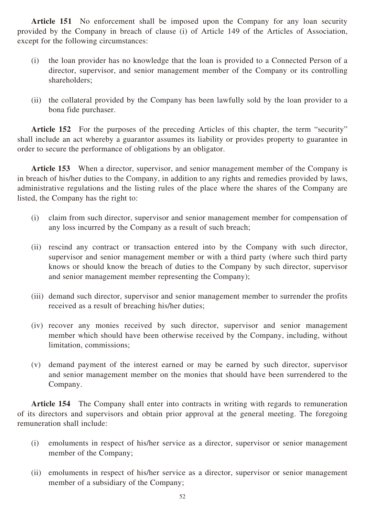**Article 151** No enforcement shall be imposed upon the Company for any loan security provided by the Company in breach of clause (i) of Article 149 of the Articles of Association, except for the following circumstances:

- (i) the loan provider has no knowledge that the loan is provided to a Connected Person of a director, supervisor, and senior management member of the Company or its controlling shareholders;
- (ii) the collateral provided by the Company has been lawfully sold by the loan provider to a bona fide purchaser.

**Article 152** For the purposes of the preceding Articles of this chapter, the term "security" shall include an act whereby a guarantor assumes its liability or provides property to guarantee in order to secure the performance of obligations by an obligator.

**Article 153** When a director, supervisor, and senior management member of the Company is in breach of his/her duties to the Company, in addition to any rights and remedies provided by laws, administrative regulations and the listing rules of the place where the shares of the Company are listed, the Company has the right to:

- (i) claim from such director, supervisor and senior management member for compensation of any loss incurred by the Company as a result of such breach;
- (ii) rescind any contract or transaction entered into by the Company with such director, supervisor and senior management member or with a third party (where such third party knows or should know the breach of duties to the Company by such director, supervisor and senior management member representing the Company);
- (iii) demand such director, supervisor and senior management member to surrender the profits received as a result of breaching his/her duties;
- (iv) recover any monies received by such director, supervisor and senior management member which should have been otherwise received by the Company, including, without limitation, commissions;
- (v) demand payment of the interest earned or may be earned by such director, supervisor and senior management member on the monies that should have been surrendered to the Company.

**Article 154** The Company shall enter into contracts in writing with regards to remuneration of its directors and supervisors and obtain prior approval at the general meeting. The foregoing remuneration shall include:

- (i) emoluments in respect of his/her service as a director, supervisor or senior management member of the Company;
- (ii) emoluments in respect of his/her service as a director, supervisor or senior management member of a subsidiary of the Company;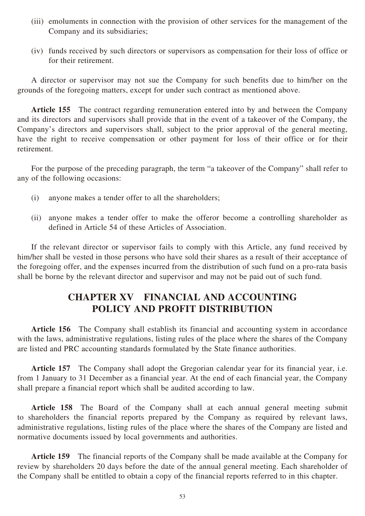- (iii) emoluments in connection with the provision of other services for the management of the Company and its subsidiaries;
- (iv) funds received by such directors or supervisors as compensation for their loss of office or for their retirement.

A director or supervisor may not sue the Company for such benefits due to him/her on the grounds of the foregoing matters, except for under such contract as mentioned above.

**Article 155** The contract regarding remuneration entered into by and between the Company and its directors and supervisors shall provide that in the event of a takeover of the Company, the Company's directors and supervisors shall, subject to the prior approval of the general meeting, have the right to receive compensation or other payment for loss of their office or for their retirement.

For the purpose of the preceding paragraph, the term "a takeover of the Company" shall refer to any of the following occasions:

- (i) anyone makes a tender offer to all the shareholders;
- (ii) anyone makes a tender offer to make the offeror become a controlling shareholder as defined in Article 54 of these Articles of Association.

If the relevant director or supervisor fails to comply with this Article, any fund received by him/her shall be vested in those persons who have sold their shares as a result of their acceptance of the foregoing offer, and the expenses incurred from the distribution of such fund on a pro-rata basis shall be borne by the relevant director and supervisor and may not be paid out of such fund.

## **CHAPTER XV FINANCIAL AND ACCOUNTING POLICY AND PROFIT DISTRIBUTION**

**Article 156** The Company shall establish its financial and accounting system in accordance with the laws, administrative regulations, listing rules of the place where the shares of the Company are listed and PRC accounting standards formulated by the State finance authorities.

**Article 157** The Company shall adopt the Gregorian calendar year for its financial year, i.e. from 1 January to 31 December as a financial year. At the end of each financial year, the Company shall prepare a financial report which shall be audited according to law.

**Article 158** The Board of the Company shall at each annual general meeting submit to shareholders the financial reports prepared by the Company as required by relevant laws, administrative regulations, listing rules of the place where the shares of the Company are listed and normative documents issued by local governments and authorities.

**Article 159** The financial reports of the Company shall be made available at the Company for review by shareholders 20 days before the date of the annual general meeting. Each shareholder of the Company shall be entitled to obtain a copy of the financial reports referred to in this chapter.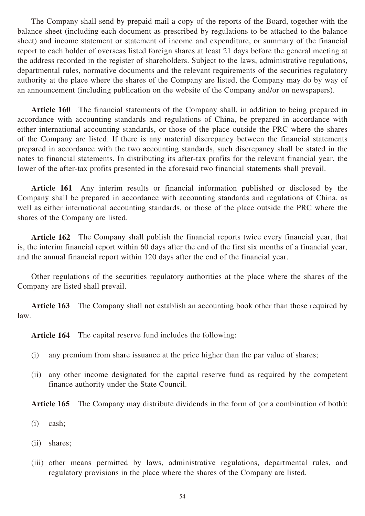The Company shall send by prepaid mail a copy of the reports of the Board, together with the balance sheet (including each document as prescribed by regulations to be attached to the balance sheet) and income statement or statement of income and expenditure, or summary of the financial report to each holder of overseas listed foreign shares at least 21 days before the general meeting at the address recorded in the register of shareholders. Subject to the laws, administrative regulations, departmental rules, normative documents and the relevant requirements of the securities regulatory authority at the place where the shares of the Company are listed, the Company may do by way of an announcement (including publication on the website of the Company and/or on newspapers).

**Article 160** The financial statements of the Company shall, in addition to being prepared in accordance with accounting standards and regulations of China, be prepared in accordance with either international accounting standards, or those of the place outside the PRC where the shares of the Company are listed. If there is any material discrepancy between the financial statements prepared in accordance with the two accounting standards, such discrepancy shall be stated in the notes to financial statements. In distributing its after-tax profits for the relevant financial year, the lower of the after-tax profits presented in the aforesaid two financial statements shall prevail.

**Article 161** Any interim results or financial information published or disclosed by the Company shall be prepared in accordance with accounting standards and regulations of China, as well as either international accounting standards, or those of the place outside the PRC where the shares of the Company are listed.

**Article 162** The Company shall publish the financial reports twice every financial year, that is, the interim financial report within 60 days after the end of the first six months of a financial year, and the annual financial report within 120 days after the end of the financial year.

Other regulations of the securities regulatory authorities at the place where the shares of the Company are listed shall prevail.

**Article 163** The Company shall not establish an accounting book other than those required by law.

**Article 164** The capital reserve fund includes the following:

- (i) any premium from share issuance at the price higher than the par value of shares;
- (ii) any other income designated for the capital reserve fund as required by the competent finance authority under the State Council.

**Article 165** The Company may distribute dividends in the form of (or a combination of both):

- (i) cash;
- (ii) shares;
- (iii) other means permitted by laws, administrative regulations, departmental rules, and regulatory provisions in the place where the shares of the Company are listed.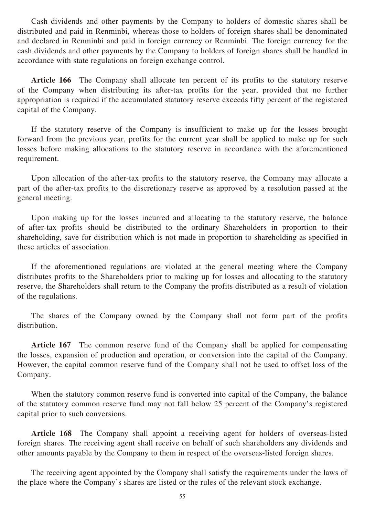Cash dividends and other payments by the Company to holders of domestic shares shall be distributed and paid in Renminbi, whereas those to holders of foreign shares shall be denominated and declared in Renminbi and paid in foreign currency or Renminbi. The foreign currency for the cash dividends and other payments by the Company to holders of foreign shares shall be handled in accordance with state regulations on foreign exchange control.

**Article 166** The Company shall allocate ten percent of its profits to the statutory reserve of the Company when distributing its after-tax profits for the year, provided that no further appropriation is required if the accumulated statutory reserve exceeds fifty percent of the registered capital of the Company.

If the statutory reserve of the Company is insufficient to make up for the losses brought forward from the previous year, profits for the current year shall be applied to make up for such losses before making allocations to the statutory reserve in accordance with the aforementioned requirement.

Upon allocation of the after-tax profits to the statutory reserve, the Company may allocate a part of the after-tax profits to the discretionary reserve as approved by a resolution passed at the general meeting.

Upon making up for the losses incurred and allocating to the statutory reserve, the balance of after-tax profits should be distributed to the ordinary Shareholders in proportion to their shareholding, save for distribution which is not made in proportion to shareholding as specified in these articles of association.

If the aforementioned regulations are violated at the general meeting where the Company distributes profits to the Shareholders prior to making up for losses and allocating to the statutory reserve, the Shareholders shall return to the Company the profits distributed as a result of violation of the regulations.

The shares of the Company owned by the Company shall not form part of the profits distribution.

**Article 167** The common reserve fund of the Company shall be applied for compensating the losses, expansion of production and operation, or conversion into the capital of the Company. However, the capital common reserve fund of the Company shall not be used to offset loss of the Company.

When the statutory common reserve fund is converted into capital of the Company, the balance of the statutory common reserve fund may not fall below 25 percent of the Company's registered capital prior to such conversions.

**Article 168** The Company shall appoint a receiving agent for holders of overseas-listed foreign shares. The receiving agent shall receive on behalf of such shareholders any dividends and other amounts payable by the Company to them in respect of the overseas-listed foreign shares.

The receiving agent appointed by the Company shall satisfy the requirements under the laws of the place where the Company's shares are listed or the rules of the relevant stock exchange.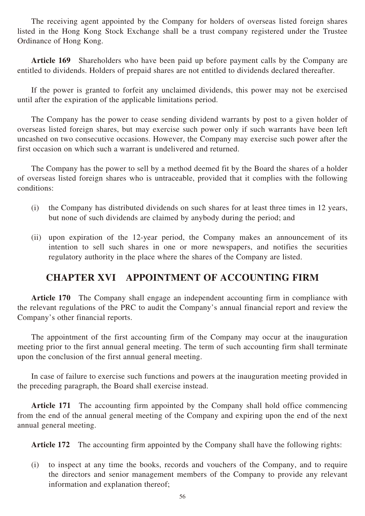The receiving agent appointed by the Company for holders of overseas listed foreign shares listed in the Hong Kong Stock Exchange shall be a trust company registered under the Trustee Ordinance of Hong Kong.

**Article 169** Shareholders who have been paid up before payment calls by the Company are entitled to dividends. Holders of prepaid shares are not entitled to dividends declared thereafter.

If the power is granted to forfeit any unclaimed dividends, this power may not be exercised until after the expiration of the applicable limitations period.

The Company has the power to cease sending dividend warrants by post to a given holder of overseas listed foreign shares, but may exercise such power only if such warrants have been left uncashed on two consecutive occasions. However, the Company may exercise such power after the first occasion on which such a warrant is undelivered and returned.

The Company has the power to sell by a method deemed fit by the Board the shares of a holder of overseas listed foreign shares who is untraceable, provided that it complies with the following conditions:

- (i) the Company has distributed dividends on such shares for at least three times in 12 years, but none of such dividends are claimed by anybody during the period; and
- (ii) upon expiration of the 12-year period, the Company makes an announcement of its intention to sell such shares in one or more newspapers, and notifies the securities regulatory authority in the place where the shares of the Company are listed.

## **CHAPTER XVI APPOINTMENT OF ACCOUNTING FIRM**

**Article 170** The Company shall engage an independent accounting firm in compliance with the relevant regulations of the PRC to audit the Company's annual financial report and review the Company's other financial reports.

The appointment of the first accounting firm of the Company may occur at the inauguration meeting prior to the first annual general meeting. The term of such accounting firm shall terminate upon the conclusion of the first annual general meeting.

In case of failure to exercise such functions and powers at the inauguration meeting provided in the preceding paragraph, the Board shall exercise instead.

**Article 171** The accounting firm appointed by the Company shall hold office commencing from the end of the annual general meeting of the Company and expiring upon the end of the next annual general meeting.

**Article 172** The accounting firm appointed by the Company shall have the following rights:

(i) to inspect at any time the books, records and vouchers of the Company, and to require the directors and senior management members of the Company to provide any relevant information and explanation thereof;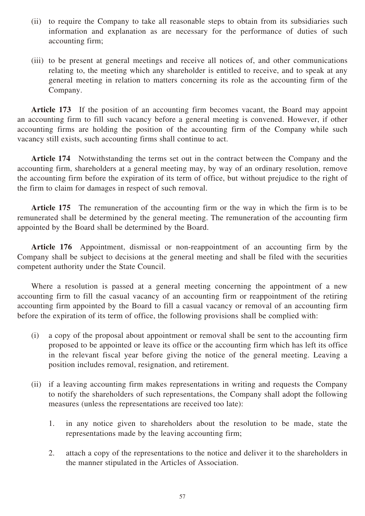- (ii) to require the Company to take all reasonable steps to obtain from its subsidiaries such information and explanation as are necessary for the performance of duties of such accounting firm;
- (iii) to be present at general meetings and receive all notices of, and other communications relating to, the meeting which any shareholder is entitled to receive, and to speak at any general meeting in relation to matters concerning its role as the accounting firm of the Company.

**Article 173** If the position of an accounting firm becomes vacant, the Board may appoint an accounting firm to fill such vacancy before a general meeting is convened. However, if other accounting firms are holding the position of the accounting firm of the Company while such vacancy still exists, such accounting firms shall continue to act.

**Article 174** Notwithstanding the terms set out in the contract between the Company and the accounting firm, shareholders at a general meeting may, by way of an ordinary resolution, remove the accounting firm before the expiration of its term of office, but without prejudice to the right of the firm to claim for damages in respect of such removal.

**Article 175** The remuneration of the accounting firm or the way in which the firm is to be remunerated shall be determined by the general meeting. The remuneration of the accounting firm appointed by the Board shall be determined by the Board.

**Article 176** Appointment, dismissal or non-reappointment of an accounting firm by the Company shall be subject to decisions at the general meeting and shall be filed with the securities competent authority under the State Council.

Where a resolution is passed at a general meeting concerning the appointment of a new accounting firm to fill the casual vacancy of an accounting firm or reappointment of the retiring accounting firm appointed by the Board to fill a casual vacancy or removal of an accounting firm before the expiration of its term of office, the following provisions shall be complied with:

- (i) a copy of the proposal about appointment or removal shall be sent to the accounting firm proposed to be appointed or leave its office or the accounting firm which has left its office in the relevant fiscal year before giving the notice of the general meeting. Leaving a position includes removal, resignation, and retirement.
- (ii) if a leaving accounting firm makes representations in writing and requests the Company to notify the shareholders of such representations, the Company shall adopt the following measures (unless the representations are received too late):
	- 1. in any notice given to shareholders about the resolution to be made, state the representations made by the leaving accounting firm;
	- 2. attach a copy of the representations to the notice and deliver it to the shareholders in the manner stipulated in the Articles of Association.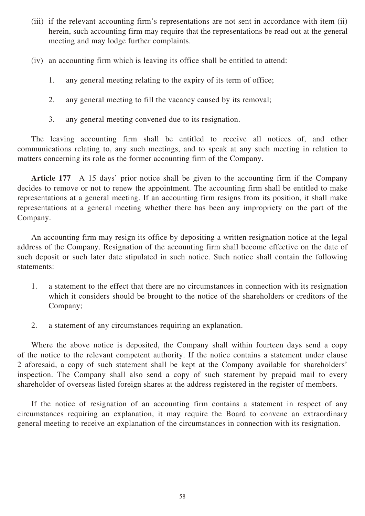- (iii) if the relevant accounting firm's representations are not sent in accordance with item (ii) herein, such accounting firm may require that the representations be read out at the general meeting and may lodge further complaints.
- (iv) an accounting firm which is leaving its office shall be entitled to attend:
	- 1. any general meeting relating to the expiry of its term of office;
	- 2. any general meeting to fill the vacancy caused by its removal;
	- 3. any general meeting convened due to its resignation.

The leaving accounting firm shall be entitled to receive all notices of, and other communications relating to, any such meetings, and to speak at any such meeting in relation to matters concerning its role as the former accounting firm of the Company.

**Article 177** A 15 days' prior notice shall be given to the accounting firm if the Company decides to remove or not to renew the appointment. The accounting firm shall be entitled to make representations at a general meeting. If an accounting firm resigns from its position, it shall make representations at a general meeting whether there has been any impropriety on the part of the Company.

An accounting firm may resign its office by depositing a written resignation notice at the legal address of the Company. Resignation of the accounting firm shall become effective on the date of such deposit or such later date stipulated in such notice. Such notice shall contain the following statements:

- 1. a statement to the effect that there are no circumstances in connection with its resignation which it considers should be brought to the notice of the shareholders or creditors of the Company;
- 2. a statement of any circumstances requiring an explanation.

Where the above notice is deposited, the Company shall within fourteen days send a copy of the notice to the relevant competent authority. If the notice contains a statement under clause 2 aforesaid, a copy of such statement shall be kept at the Company available for shareholders' inspection. The Company shall also send a copy of such statement by prepaid mail to every shareholder of overseas listed foreign shares at the address registered in the register of members.

If the notice of resignation of an accounting firm contains a statement in respect of any circumstances requiring an explanation, it may require the Board to convene an extraordinary general meeting to receive an explanation of the circumstances in connection with its resignation.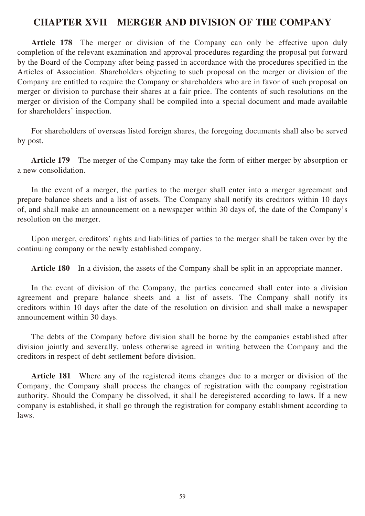### **CHAPTER XVII MERGER AND DIVISION OF THE COMPANY**

**Article 178** The merger or division of the Company can only be effective upon duly completion of the relevant examination and approval procedures regarding the proposal put forward by the Board of the Company after being passed in accordance with the procedures specified in the Articles of Association. Shareholders objecting to such proposal on the merger or division of the Company are entitled to require the Company or shareholders who are in favor of such proposal on merger or division to purchase their shares at a fair price. The contents of such resolutions on the merger or division of the Company shall be compiled into a special document and made available for shareholders' inspection.

For shareholders of overseas listed foreign shares, the foregoing documents shall also be served by post.

**Article 179** The merger of the Company may take the form of either merger by absorption or a new consolidation.

In the event of a merger, the parties to the merger shall enter into a merger agreement and prepare balance sheets and a list of assets. The Company shall notify its creditors within 10 days of, and shall make an announcement on a newspaper within 30 days of, the date of the Company's resolution on the merger.

Upon merger, creditors' rights and liabilities of parties to the merger shall be taken over by the continuing company or the newly established company.

**Article 180** In a division, the assets of the Company shall be split in an appropriate manner.

In the event of division of the Company, the parties concerned shall enter into a division agreement and prepare balance sheets and a list of assets. The Company shall notify its creditors within 10 days after the date of the resolution on division and shall make a newspaper announcement within 30 days.

The debts of the Company before division shall be borne by the companies established after division jointly and severally, unless otherwise agreed in writing between the Company and the creditors in respect of debt settlement before division.

**Article 181** Where any of the registered items changes due to a merger or division of the Company, the Company shall process the changes of registration with the company registration authority. Should the Company be dissolved, it shall be deregistered according to laws. If a new company is established, it shall go through the registration for company establishment according to laws.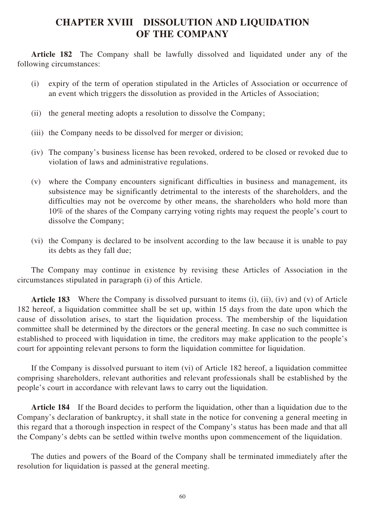## **CHAPTER XVIII DISSOLUTION AND LIQUIDATION OF THE COMPANY**

**Article 182** The Company shall be lawfully dissolved and liquidated under any of the following circumstances:

- (i) expiry of the term of operation stipulated in the Articles of Association or occurrence of an event which triggers the dissolution as provided in the Articles of Association;
- (ii) the general meeting adopts a resolution to dissolve the Company;
- (iii) the Company needs to be dissolved for merger or division;
- (iv) The company's business license has been revoked, ordered to be closed or revoked due to violation of laws and administrative regulations.
- (v) where the Company encounters significant difficulties in business and management, its subsistence may be significantly detrimental to the interests of the shareholders, and the difficulties may not be overcome by other means, the shareholders who hold more than 10% of the shares of the Company carrying voting rights may request the people's court to dissolve the Company;
- (vi) the Company is declared to be insolvent according to the law because it is unable to pay its debts as they fall due;

The Company may continue in existence by revising these Articles of Association in the circumstances stipulated in paragraph (i) of this Article.

**Article 183** Where the Company is dissolved pursuant to items (i), (ii), (iv) and (v) of Article 182 hereof, a liquidation committee shall be set up, within 15 days from the date upon which the cause of dissolution arises, to start the liquidation process. The membership of the liquidation committee shall be determined by the directors or the general meeting. In case no such committee is established to proceed with liquidation in time, the creditors may make application to the people's court for appointing relevant persons to form the liquidation committee for liquidation.

If the Company is dissolved pursuant to item (vi) of Article 182 hereof, a liquidation committee comprising shareholders, relevant authorities and relevant professionals shall be established by the people's court in accordance with relevant laws to carry out the liquidation.

**Article 184** If the Board decides to perform the liquidation, other than a liquidation due to the Company's declaration of bankruptcy, it shall state in the notice for convening a general meeting in this regard that a thorough inspection in respect of the Company's status has been made and that all the Company's debts can be settled within twelve months upon commencement of the liquidation.

The duties and powers of the Board of the Company shall be terminated immediately after the resolution for liquidation is passed at the general meeting.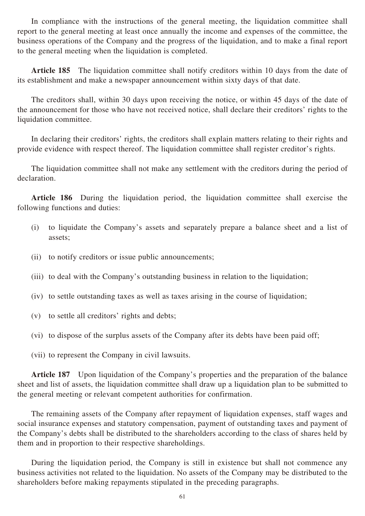In compliance with the instructions of the general meeting, the liquidation committee shall report to the general meeting at least once annually the income and expenses of the committee, the business operations of the Company and the progress of the liquidation, and to make a final report to the general meeting when the liquidation is completed.

**Article 185** The liquidation committee shall notify creditors within 10 days from the date of its establishment and make a newspaper announcement within sixty days of that date.

The creditors shall, within 30 days upon receiving the notice, or within 45 days of the date of the announcement for those who have not received notice, shall declare their creditors' rights to the liquidation committee.

In declaring their creditors' rights, the creditors shall explain matters relating to their rights and provide evidence with respect thereof. The liquidation committee shall register creditor's rights.

The liquidation committee shall not make any settlement with the creditors during the period of declaration.

Article 186 During the liquidation period, the liquidation committee shall exercise the following functions and duties:

- (i) to liquidate the Company's assets and separately prepare a balance sheet and a list of assets;
- (ii) to notify creditors or issue public announcements;
- (iii) to deal with the Company's outstanding business in relation to the liquidation;
- (iv) to settle outstanding taxes as well as taxes arising in the course of liquidation;
- (v) to settle all creditors' rights and debts;
- (vi) to dispose of the surplus assets of the Company after its debts have been paid off;
- (vii) to represent the Company in civil lawsuits.

**Article 187** Upon liquidation of the Company's properties and the preparation of the balance sheet and list of assets, the liquidation committee shall draw up a liquidation plan to be submitted to the general meeting or relevant competent authorities for confirmation.

The remaining assets of the Company after repayment of liquidation expenses, staff wages and social insurance expenses and statutory compensation, payment of outstanding taxes and payment of the Company's debts shall be distributed to the shareholders according to the class of shares held by them and in proportion to their respective shareholdings.

During the liquidation period, the Company is still in existence but shall not commence any business activities not related to the liquidation. No assets of the Company may be distributed to the shareholders before making repayments stipulated in the preceding paragraphs.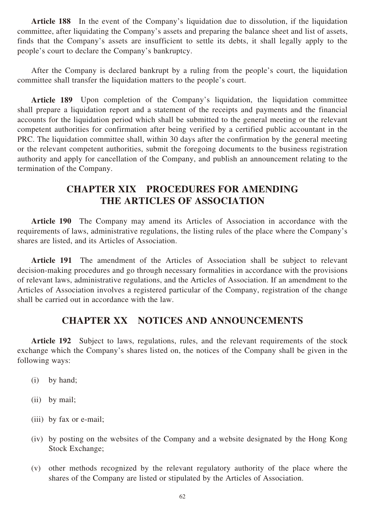**Article 188** In the event of the Company's liquidation due to dissolution, if the liquidation committee, after liquidating the Company's assets and preparing the balance sheet and list of assets, finds that the Company's assets are insufficient to settle its debts, it shall legally apply to the people's court to declare the Company's bankruptcy.

After the Company is declared bankrupt by a ruling from the people's court, the liquidation committee shall transfer the liquidation matters to the people's court.

**Article 189** Upon completion of the Company's liquidation, the liquidation committee shall prepare a liquidation report and a statement of the receipts and payments and the financial accounts for the liquidation period which shall be submitted to the general meeting or the relevant competent authorities for confirmation after being verified by a certified public accountant in the PRC. The liquidation committee shall, within 30 days after the confirmation by the general meeting or the relevant competent authorities, submit the foregoing documents to the business registration authority and apply for cancellation of the Company, and publish an announcement relating to the termination of the Company.

## **CHAPTER XIX PROCEDURES FOR AMENDING THE ARTICLES OF ASSOCIATION**

**Article 190** The Company may amend its Articles of Association in accordance with the requirements of laws, administrative regulations, the listing rules of the place where the Company's shares are listed, and its Articles of Association.

**Article 191** The amendment of the Articles of Association shall be subject to relevant decision-making procedures and go through necessary formalities in accordance with the provisions of relevant laws, administrative regulations, and the Articles of Association. If an amendment to the Articles of Association involves a registered particular of the Company, registration of the change shall be carried out in accordance with the law.

### **CHAPTER XX NOTICES AND ANNOUNCEMENTS**

**Article 192** Subject to laws, regulations, rules, and the relevant requirements of the stock exchange which the Company's shares listed on, the notices of the Company shall be given in the following ways:

- (i) by hand;
- (ii) by mail;
- (iii) by fax or e-mail;
- (iv) by posting on the websites of the Company and a website designated by the Hong Kong Stock Exchange;
- (v) other methods recognized by the relevant regulatory authority of the place where the shares of the Company are listed or stipulated by the Articles of Association.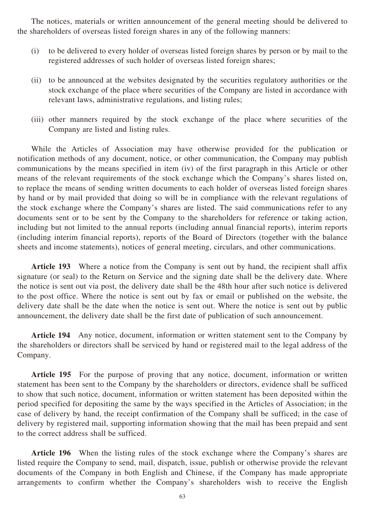The notices, materials or written announcement of the general meeting should be delivered to the shareholders of overseas listed foreign shares in any of the following manners:

- (i) to be delivered to every holder of overseas listed foreign shares by person or by mail to the registered addresses of such holder of overseas listed foreign shares;
- (ii) to be announced at the websites designated by the securities regulatory authorities or the stock exchange of the place where securities of the Company are listed in accordance with relevant laws, administrative regulations, and listing rules;
- (iii) other manners required by the stock exchange of the place where securities of the Company are listed and listing rules.

While the Articles of Association may have otherwise provided for the publication or notification methods of any document, notice, or other communication, the Company may publish communications by the means specified in item (iv) of the first paragraph in this Article or other means of the relevant requirements of the stock exchange which the Company's shares listed on, to replace the means of sending written documents to each holder of overseas listed foreign shares by hand or by mail provided that doing so will be in compliance with the relevant regulations of the stock exchange where the Company's shares are listed. The said communications refer to any documents sent or to be sent by the Company to the shareholders for reference or taking action, including but not limited to the annual reports (including annual financial reports), interim reports (including interim financial reports), reports of the Board of Directors (together with the balance sheets and income statements), notices of general meeting, circulars, and other communications.

**Article 193** Where a notice from the Company is sent out by hand, the recipient shall affix signature (or seal) to the Return on Service and the signing date shall be the delivery date. Where the notice is sent out via post, the delivery date shall be the 48th hour after such notice is delivered to the post office. Where the notice is sent out by fax or email or published on the website, the delivery date shall be the date when the notice is sent out. Where the notice is sent out by public announcement, the delivery date shall be the first date of publication of such announcement.

**Article 194** Any notice, document, information or written statement sent to the Company by the shareholders or directors shall be serviced by hand or registered mail to the legal address of the Company.

**Article 195** For the purpose of proving that any notice, document, information or written statement has been sent to the Company by the shareholders or directors, evidence shall be sufficed to show that such notice, document, information or written statement has been deposited within the period specified for depositing the same by the ways specified in the Articles of Association; in the case of delivery by hand, the receipt confirmation of the Company shall be sufficed; in the case of delivery by registered mail, supporting information showing that the mail has been prepaid and sent to the correct address shall be sufficed.

**Article 196** When the listing rules of the stock exchange where the Company's shares are listed require the Company to send, mail, dispatch, issue, publish or otherwise provide the relevant documents of the Company in both English and Chinese, if the Company has made appropriate arrangements to confirm whether the Company's shareholders wish to receive the English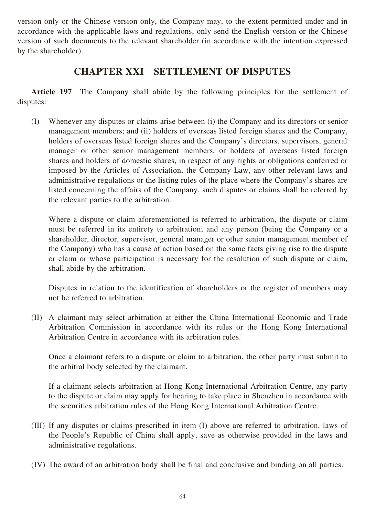version only or the Chinese version only, the Company may, to the extent permitted under and in accordance with the applicable laws and regulations, only send the English version or the Chinese version of such documents to the relevant shareholder (in accordance with the intention expressed by the shareholder).

### **CHAPTER XXI SETTLEMENT OF DISPUTES**

**Article 197** The Company shall abide by the following principles for the settlement of disputes:

(I) Whenever any disputes or claims arise between (i) the Company and its directors or senior management members; and (ii) holders of overseas listed foreign shares and the Company, holders of overseas listed foreign shares and the Company's directors, supervisors, general manager or other senior management members, or holders of overseas listed foreign shares and holders of domestic shares, in respect of any rights or obligations conferred or imposed by the Articles of Association, the Company Law, any other relevant laws and administrative regulations or the listing rules of the place where the Company's shares are listed concerning the affairs of the Company, such disputes or claims shall be referred by the relevant parties to the arbitration.

Where a dispute or claim aforementioned is referred to arbitration, the dispute or claim must be referred in its entirety to arbitration; and any person (being the Company or a shareholder, director, supervisor, general manager or other senior management member of the Company) who has a cause of action based on the same facts giving rise to the dispute or claim or whose participation is necessary for the resolution of such dispute or claim, shall abide by the arbitration.

Disputes in relation to the identification of shareholders or the register of members may not be referred to arbitration.

(II) A claimant may select arbitration at either the China International Economic and Trade Arbitration Commission in accordance with its rules or the Hong Kong International Arbitration Centre in accordance with its arbitration rules.

Once a claimant refers to a dispute or claim to arbitration, the other party must submit to the arbitral body selected by the claimant.

If a claimant selects arbitration at Hong Kong International Arbitration Centre, any party to the dispute or claim may apply for hearing to take place in Shenzhen in accordance with the securities arbitration rules of the Hong Kong International Arbitration Centre.

- (III) If any disputes or claims prescribed in item (I) above are referred to arbitration, laws of the People's Republic of China shall apply, save as otherwise provided in the laws and administrative regulations.
- (IV) The award of an arbitration body shall be final and conclusive and binding on all parties.